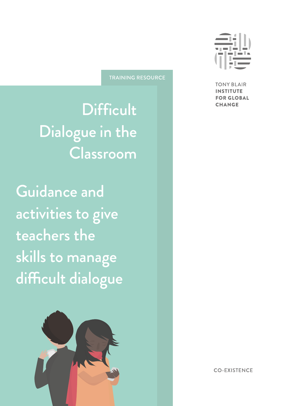**TRAINING RESOURCE** 

**Difficult** Dialogue in the Classroom

Guidance and activities to give teachers the skills to manage difficult dialogue





**TONY BLAIR INSTITUTE FOR GLOBAL CHANGE** 

**CO-EXISTENCE**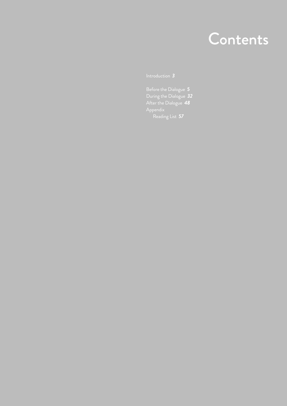## Contents

Before the Dialogue *5* During the Dialogue *32* After the Dialogue *48* Reading List *57*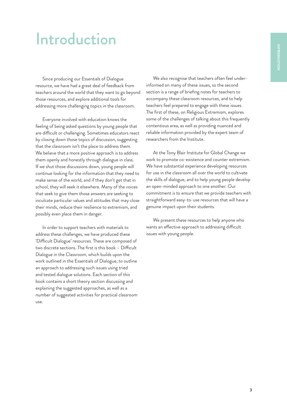## Introduction

Since producing our Essentials of Dialogue resource, we have had a great deal of feedback from teachers around the world that they want to go beyond those resources, and explore additional tools for addressing more challenging topics in the classroom.

Everyone involved with education knows the feeling of being asked questions by young people that are difficult or challenging. Sometimes educators react by closing down those topics of discussion, suggesting that the classroom isn't the place to address them. We believe that a more positive approach is to address them openly and honestly through dialogue in class. If we shut those discussions down, young people will continue looking for the information that they need to make sense of the world, and if they don't get that in school, they will seek it elsewhere. Many of the voices that seek to give them those answers are seeking to inculcate particular values and attitudes that may close their minds, reduce their resilience to extremism, and possibly even place them in danger.

In order to support teachers with materials to address these challenges, we have produced these 'Difficult Dialogue' resources. These are composed of two discrete sections. The first is this book – Difficult Dialogue in the Classroom, which builds upon the work outlined in the Essentials of Dialogue, to outline an approach to addressing such issues using tried and tested dialogue solutions. Each section of this book contains a short theory section discussing and explaining the suggested approaches, as well as a number of suggested activities for practical classroom use.

We also recognise that teachers often feel underinformed on many of these issues, so the second section is a range of briefing notes for teachers to accompany these classroom resources, and to help teachers feel prepared to engage with these issues. The first of these, on Religious Extremism, explores some of the challenges of talking about this frequently contentious area, as well as providing nuanced and reliable information provided by the expert team of researchers from the Institute.

At the Tony Blair Institute for Global Change we work to promote co-existence and counter extremism. We have substantial experience developing resources for use in the classroom all over the world to cultivate the skills of dialogue, and to help young people develop an open-minded approach to one another. Our commitment is to ensure that we provide teachers with straightforward easy-to-use resources that will have a genuine impact upon their students.

We present these resources to help anyone who wants an effective approach to addressing difficult issues with young people.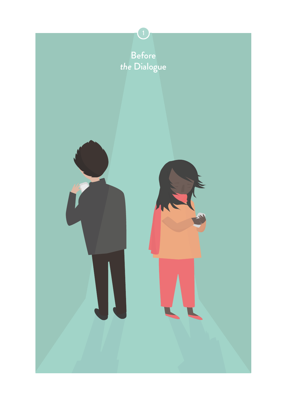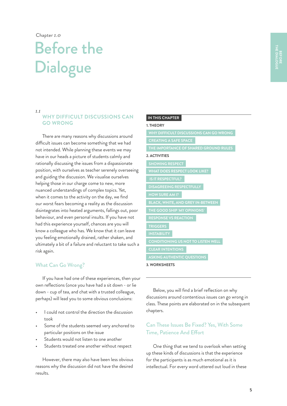Chapter *1.0* 

## Before the **Dialogue**

#### *1.1*

## **WHY DIFFICULT DISCUSSIONS CAN GO WRONG**

There are many reasons why discussions around difficult issues can become something that we had not intended. While planning these events we may have in our heads a picture of students calmly and rationally discussing the issues from a dispassionate position, with ourselves as teacher serenely overseeing and guiding the discussion. We visualise ourselves helping those in our charge come to new, more nuanced understandings of complex topics. Yet, when it comes to the activity on the day, we find our worst fears becoming a reality as the discussion disintegrates into heated arguments, fallings out, poor behaviour, and even personal insults. If you have not had this experience yourself, chances are you will know a colleague who has. We know that it can leave you feeling emotionally drained, rather shaken, and ultimately a bit of a failure and reluctant to take such a risk again.

## What Can Go Wrong?

If you have had one of these experiences, then your own reflections (once you have had a sit down - or lie down - cup of tea, and chat with a trusted colleague, perhaps) will lead you to some obvious conclusions:

- I could not control the direction the discussion took
- Some of the students seemed very anchored to particular positions on the issue
- Students would not listen to one another
- Students treated one another without respect

However, there may also have been less obvious reasons why the discussion did not have the desired results.

#### **IN THIS CHAPTER**

#### **1. THEORY**

**DISAGREEING RESPECTFULLY 2. ACTIVITIES SHOWING RESPECT IS IT RESPECTFUL? WHY DIFFICULT DISCUSSIONS CAN GO WRONG THE IMPORTANCE OF SHARED GROUND RULES HOW SURE AM I? THE GOOD SHIP 'MY OPINIONS' RESPONSE VS REACTION TRIGGERS ASKING AUTHENTIC QUESTIONS**

#### **3. WORKSHEETS**

Below, you will find a brief reflection on why discussions around contentious issues can go wrong in class. These points are elaborated on in the subsequent chapters.

## Can These Issues Be Fixed? Yes, With Some Time, Patience And Effort

One thing that we tend to overlook when setting up these kinds of discussions is that the experience for the participants is as much emotional as it is intellectual. For every word uttered out loud in these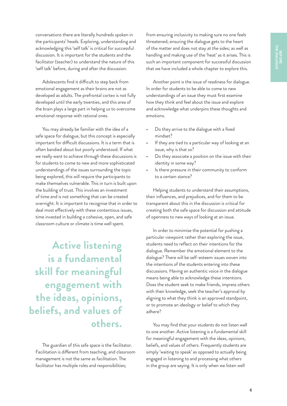conversations there are literally hundreds spoken in the participants' heads. Exploring, understanding and acknowledging this 'self talk' is critical for successful discussion. It is important for the students and the facilitator (teacher) to understand the nature of this 'self talk' before, during and after the discussion.

Adolescents find it difficult to step back from emotional engagement as their brains are not as developed as adults. The prefrontal cortex is not fully developed until the early twenties, and this area of the brain plays a large part in helping us to overcome emotional response with rational ones.

You may already be familiar with the idea of a safe space for dialogue, but this concept is especially important for difficult discussions. It is a term that is often bandied about but poorly understood. If what we really want to achieve through these discussions is for students to come to new and more sophisticated understandings of the issues surrounding the topic being explored, this will require the participants to make themselves vulnerable. This in turn is built upon the building of trust. This involves an investment of time and is not something that can be created overnight. It is important to recognise that in order to deal most effectively with these contentious issues, time invested in building a cohesive, open, and safe classroom culture or climate is time well spent.

**Active listening is a fundamental skill for meaningful engagement with the ideas, opinions, beliefs, and values of others.**

The guardian of this safe space is the facilitator. Facilitation is different from teaching, and classroom management is not the same as facilitation. The facilitator has multiple roles and responsibilities;

from ensuring inclusivity to making sure no one feels threatened; ensuring the dialogue gets to the heart of the matter and does not stay at the sides; as well as handling and making use of the 'heat' as it arises. This is such an important component for successful discussion that we have included a whole chapter to explore this.

Another point is the issue of readiness for dialogue. In order for students to be able to come to new understandings of an issue they must first examine how they think and feel about the issue and explore and acknowledge what underpins these thoughts and emotions.

- Do they arrive to the dialogue with a fixed mindset?
- If they are tied to a particular way of looking at an issue, why is that so?
- Do they associate a position on the issue with their identity in some way?
- Is there pressure in their community to conform to a certain stance?

Helping students to understand their assumptions, their influences, and prejudices, and for them to be transparent about this in the discussion is critical for creating both the safe space for discussion and attitude of openness to new ways of looking at an issue.

In order to minimise the potential for pushing a particular viewpoint rather than exploring the issue, students need to reflect on their intentions for the dialogue. Remember the emotional element to the dialogue? There will be self-esteem issues woven into the intentions of the students entering into these discussions. Having an authentic voice in the dialogue means being able to acknowledge these intentions. Does the student seek to make friends, impress others with their knowledge, seek the teacher's approval by aligning to what they think is an approved standpoint, or to promote an ideology or belief to which they adhere?

You may find that your students do not listen well to one another. Active listening is a fundamental skill for meaningful engagement with the ideas, opinions, beliefs, and values of others. Frequently students are simply 'waiting to speak' as opposed to actually being engaged in listening to and processing what others in the group are saying. It is only when we listen well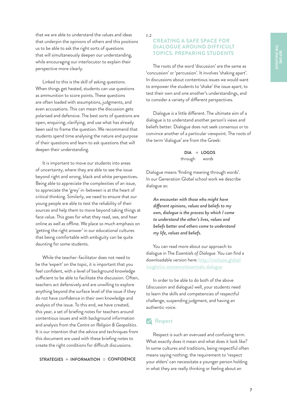that we are able to understand the values and ideas that underpin the opinions of others and this positions us to be able to ask the right sorts of questions that will simultaneously deepen our understanding, while encouraging our interlocutor to explain their perspective more clearly.

Linked to this is the skill of asking questions. When things get heated, students can use questions as ammunition to score points. These questions are often loaded with assumptions, judgments, and even accusations. This can mean the discussion gets polarised and defensive. The best sorts of questions are open, enquiring, clarifying, and use what has already been said to frame the question. We recommend that students spend time analysing the nature and purpose of their questions and learn to ask questions that will deepen their understanding.

It is important to move our students into areas of uncertainty, where they are able to see the issue beyond right and wrong, black and white perspectives. Being able to appreciate the complexities of an issue, to appreciate the 'grey' in-between is at the heart of critical thinking. Similarly, we need to ensure that our young people are able to test the reliability of their sources and help them to move beyond taking things at face value. This goes for what they read, see, and hear online as well as offline. We place so much emphasis on 'getting the right answer' in our educational cultures that being comfortable with ambiguity can be quite daunting for some students.

While the teacher-facilitator does not need to be the 'expert' on the topic, it is important that you feel confident, with a level of background knowledge sufficient to be able to facilitate the discussion. Often, teachers act defensively and are unwilling to explore anything beyond the surface level of the issue if they do not have confidence in their own knowledge and analysis of the issue. To this end, we have created, this year, a set of briefing notes for teachers around contentious issues and with background information and analysis from the *Centre on Religion & Geopolitics*. It is our intention that the advice and techniques from this document are used with these briefing notes to create the right conditions for difficult discussions.

**STRATEGIES + INFORMATION = CONFIDENCE** 

*1.2*

## **CREATING A SAFE SPACE FOR DIALOGUE AROUND DIFFICULT TOPICS: PREPARING STUDENTS**

The roots of the word 'discussion' are the same as 'concussion' or 'percussion'. It involves 'shaking apart'. In discussions about contentious issues we would want to empower the students to 'shake' the issue apart; to test their own and one another's understandings, and to consider a variety of different perspectives.

Dialogue is a little different. The ultimate aim of a dialogue is to understand another person's views and beliefs better. Dialogue does not seek consensus or to convince another of a particular viewpoint. The roots of the term 'dialogue' are from the Greek:

> **DIA LOGOS** through *words*

Dialogue means 'finding meaning through words'. In our Generation Global school work we describe dialogue as:

*An encounter with those who might have different opinions, values and beliefs to my own, dialogue is the process by which I come to understand the other's lives, values and beliefs better and others come to understand my life, values and beliefs.*

You can read more about our approach to dialogue in The *Essentials of Dialogue*. You can find a downloadable version here: [http://institute.global/](http://institute.global/insight/co-existence/essentials-dialogue) [insight/co-existence/essentials-dialogue](http://institute.global/insight/co-existence/essentials-dialogue)

In order to be able to do both of the above (discussion and dialogue) well, your students need to learn the skills and competencies of respectful challenge, suspending judgment, and having an authentic voice.

## **Respect**

Respect is such an overused and confusing term. What exactly does it mean and what does it look like? In some cultures and traditions, being respectful often means saying nothing; the requirement to 'respect your elders' can necessitate a younger person holding in what they are really thinking or feeling about an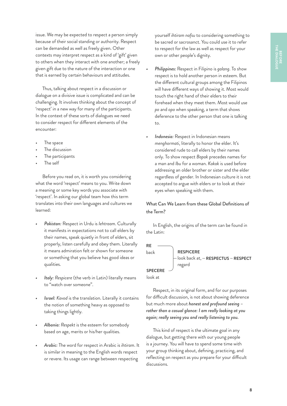issue. We may be expected to respect a person simply because of their social standing or authority. Respect can be demanded as well as freely given. Other contexts may interpret respect as a kind of 'gift' given to others when they interact with one another; a freely given gift due to the nature of the interaction or one that is earned by certain behaviours and attitudes.

Thus, talking about respect in a discussion or dialogue on a divisive issue is complicated and can be challenging. It involves thinking about the concept of 'respect' in a new way for many of the participants. In the context of these sorts of dialogues we need to consider respect for different elements of the encounter:

- The space
- The discussion
- The participants
- The self

Before you read on, it is worth you considering what the word 'respect' means to you. Write down a meaning or some key words you associate with 'respect'. In asking our global team how this term translates into their own languages and cultures we learned:

- *• Pakistan:* Respect in Urdu is *Iehtraam*. Culturally it manifests in expectations not to call elders by their names, speak quietly in front of elders, sit properly, listen carefully and obey them. Literally it means admiration felt or shown for someone or something that you believe has good ideas or qualities.
- *• Italy: Respicere* (the verb in Latin) literally means to "watch over someone".
- *• Israel: Kavod* is the translation. Literally it contains the notion of something heavy as opposed to taking things lightly.
- *• Albania: Respekt* is the esteem for somebody based on age, merits or his/her qualities.
- *• Arabic:* The word for respect in Arabic is *ihtiram*. It is similar in meaning to the English words respect or revere. Its usage can range between respecting

yourself *ihtiram nafsu* to considering something to be sacred or sacrosanct. You could use it to refer to respect for the law as well as respect for your own or other people's dignity.

- *• Philippines:* Respect in Filipino is *galang*. To show respect is to hold another person in esteem. But the different cultural groups among the Filipinos will have different ways of showing it. Most would touch the right hand of their elders to their forehead when they meet them. Most would use *po* and *opo* when speaking, a term that shows deference to the other person that one is talking to.
- *• Indonesia:* Respect in Indonesian means *menghormati*, literally to honor the elder. It's considered rude to call elders by their names only. To show respect *Bapak* precedes names for a man and *Ibu* for a woman. *Kakak* is used before addressing an older brother or sister and the elder regardless of gender. In Indonesian culture it is not accepted to argue with elders or to look at their eyes when speaking with them.

## What Can We Learn from these Global Definitions of the Term?

In English, the origins of the term can be found in the Latin:



Respect, in its original form, and for our purposes for difficult discussion, is not about showing deference but much more about *honest and profound seeing – rather than a casual glance: I am really looking at you again; really seeing you and really listening to you.*

This kind of respect is the ultimate goal in any dialogue, but getting there with our young people is a journey. You will have to spend some time with your group thinking about, defining, practicing, and reflecting on respect as you prepare for your difficult discussions.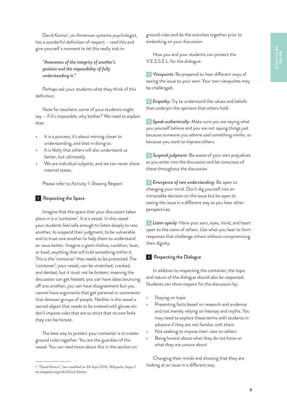David Kantor<sup>1</sup>, an American systems psychologist, has a wonderful definition of respect – read this and give yourself a moment to let this really sink in:

## *"Awareness of the integrity of another's position and the impossibility of fully understanding it."*

Perhaps ask your students what they think of this definition.

Note for teachers: some of your students might say – if it's impossible, why bother? We need to explain that:

- It is a process; it's about moving closer to understanding, and that in doing so.
- It is likely that others will also understand us better, but ultimately.
- We are individual subjects, and we can never share internal states.

Please refer to Activity 1: *Showing Respect*

### **<sup>1</sup>** Respecting the Space

Imagine that the space that your discussion takes place in is a 'container'. It is a vessel. In this vessel your students feel safe enough to listen deeply to one another, to suspend their judgment, to be vulnerable and to trust one another to help them to understand an issue better. Imagine a giant chalice, cauldron, boat, or bowl, anything that will hold something within it. This is the 'container' that needs to be protected. The 'container', your vessel, can be stretched, cracked, and dented, but it must not be broken; meaning the discussion can get heated, you can have ideas bouncing off one another, you can have disagreement but you cannot have arguments that get personal or comments that demean groups of people. Neither is the vessel a sacred object that needs to be treated with gloves on: don't impose rules that are so strict that no one feels they can be honest.

The best way to protect your container is to create ground rules together. You are the guardian of the vessel. You can read more about this in the section on

ground rules and do the activities together prior to embarking on your discussion.

How you and your students can protect the V.E.S.S.E.L. for the dialogue:

**<sup>V</sup>** *Viewpoints:* Be prepared to hear different ways of seeing the issue to your own. Your own viewpoints may be challenged.

**E** *Empathy:* Try to understand the values and beliefs that underpin the opinions that others hold.

**<sup>S</sup>** *Speak authentically:* Make sure you are saying what you yourself believe and you are not saying things just because someone you admire said something similar, or because you want to impress others.

**<sup>S</sup>** *Suspend judgment:* Be aware of your own prejudices as you enter into the discussion and be conscious of these throughout the discussion.

**<sup>E</sup>** *Emergence of new understanding:* Be open to changing your mind. Don't dig yourself into an intractable decision on the issue but be open to seeing the issue in a different way as you hear other perspectives.

**<sup>L</sup>** *Listen openly:* Have your ears, eyes, mind, and heart open to the views of others. Use what you hear to form responses that challenge others without compromising their dignity.

## **<sup>2</sup>** Respecting the Dialogue

In addition to respecting the container, the topic and nature of the dialogue should also be respected. Students can show respect for the discussion by:

- Staying on topic
- Presenting facts based on research and evidence and not merely relying on hearsay and myths. You may need to explore these terms with students in advance if they are not familiar with them
- Not seeking to impose their view on others
- Being honest about what they do not know or what they are unsure about

Changing their minds and showing that they are looking at an issue in a different way.

<sup>1</sup> "David Kantor", last modified on 30 April 2016, Wikipedia, [https://](https://en.wikipedia.org/wiki/David_Kantor) [en.wikipedia.org/wiki/David\\_Kantor](https://en.wikipedia.org/wiki/David_Kantor)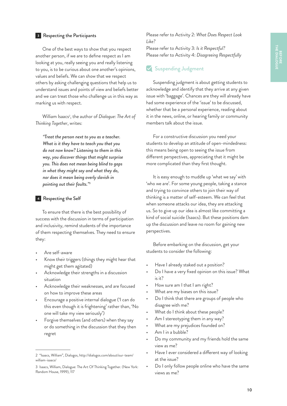### **<sup>3</sup>** Respecting the Participants

One of the best ways to show that you respect another person, if we are to define respect as I am looking at you, really seeing you and really listening to you, is to be curious about one another's opinions, values and beliefs. We can show that we respect others by asking challenging questions that help us to understand issues and points of view and beliefs better and we can treat those who challenge us in this way as marking us with respect.

William Isaacs2 , the author of *Dialogue: The Art of Thinking Together*, writes:

*"Treat the person next to you as a teacher. What is it they have to teach you that you do not now know? Listening to them in this way, you discover things that might surprise you. This does not mean being blind to gaps in what they might say and what they do, nor does it mean being overly slavish in pointing out their faults."3*

#### **<sup>4</sup>** Respecting the Self

To ensure that there is the best possibility of success with the discussion in terms of participation and inclusivity, remind students of the importance of them respecting themselves. They need to ensure they:

- Are self-aware
- Know their triggers (things they might hear that might get them agitated)
- Acknowledge their strengths in a discussion situation
- Acknowledge their weaknesses, and are focused on how to improve these areas
- Encourage a positive internal dialogue ('I can do this even though it is frightening' rather than, 'No one will take my view seriously')
- Forgive themselves (and others) when they say or do something in the discussion that they then regret

Please refer to Activity 2: *What Does Respect Look Like?*

Please refer to Activity 3: *Is it Respectful?* Please refer to Activity 4: *Disagreeing Respectfully*

## Suspending Judgment

Suspending judgment is about getting students to acknowledge and identify that they arrive at any given issue with 'baggage'. Chances are they will already have had some experience of the 'issue' to be discussed, whether that be a personal experience, reading about it in the news, online, or hearing family or community members talk about the issue.

For a constructive discussion you need your students to develop an attitude of open-mindedness: this means being open to seeing the issue from different perspectives, appreciating that it might be more complicated than they first thought.

It is easy enough to muddle up 'what we say' with 'who we are'. For some young people, taking a stance and trying to convince others to join their way of thinking is a matter of self-esteem. We can feel that when someone attacks our idea, they are attacking us. So to give up our idea is almost like committing a kind of social suicide (Isaacs). But these positions dam up the discussion and leave no room for gaining new perspectives.

Before embarking on the discussion, get your students to consider the following:

- Have I already staked out a position?
- Do I have a very fixed opinion on this issue? What is it?
- How sure am I that I am right?
- What are my biases on this issue?
- Do I think that there are groups of people who disagree with me?
- What do I think about these people?
- Am I stereotyping them in any way?
- What are my prejudices founded on?
- Am I in a bubble?
- Do my community and my friends hold the same view as me?
- Have I ever considered a different way of looking at the issue?
- Do I only follow people online who have the same views as me?

<sup>2</sup> "Isaacs, William", Dialogos, [http://dialogos.com/about/our-team/](http://dialogos.com/about/our-team/william-isaacs/) [william-isaacs/](http://dialogos.com/about/our-team/william-isaacs/)

<sup>3</sup> Isaacs, William, Dialogue: The Art Of Thinking Together. (New York: Random House, 1999), 117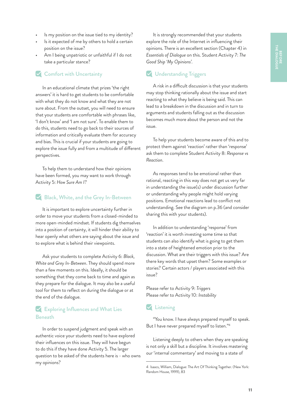- Is my position on the issue tied to my identity?
- Is it expected of me by others to hold a certain position on the issue?
- Am I being unpatriotic or unfaithful if I do not take a particular stance?

## **Comfort with Uncertainty**

In an educational climate that prizes 'the right answers' it is hard to get students to be comfortable with what they do not know and what they are not sure about. From the outset, you will need to ensure that your students are comfortable with phrases like, 'I don't know' and 'I am not sure'. To enable them to do this, students need to go back to their sources of information and critically evaluate them for accuracy and bias. This is crucial if your students are going to explore the issue fully and from a multitude of different perspectives.

To help them to understand how their opinions have been formed, you may want to work through Activity 5: *How Sure Am I?*

## Black, White, and the Grey In-Between

It is important to explore uncertainty further in order to move your students from a closed-minded to more open-minded mindset. If students dig themselves into a position of certainty, it will hinder their ability to hear openly what others are saying about the issue and to explore what is behind their viewpoints.

Ask your students to complete Activity 6: *Black, White and Grey In-Between*. They should spend more than a few moments on this. Ideally, it should be something that they come back to time and again as they prepare for the dialogue. It may also be a useful tool for them to reflect on during the dialogue or at the end of the dialogue.

## **K** Exploring Influences and What Lies Beneath

In order to suspend judgment and speak with an authentic voice your students need to have explored their influences on this issue. They will have begun to do this if they have done Activity 5. The larger question to be asked of the students here is - who owns my opinions?

It is strongly recommended that your students explore the role of the Internet in influencing their opinions. There is an excellent section (Chapter 4) in *Essentials of Dialogue* on this. Student Activity 7: *The Good Ship 'My Opinions'.*

## **V** Understanding Triggers

A risk in a difficult discussion is that your students may stop thinking rationally about the issue and start reacting to what they believe is being said. This can lead to a breakdown in the discussion and in turn to arguments and students falling out as the discussion becomes much more about the person and not the issue.

To help your students become aware of this and to protect them against 'reaction' rather than 'response' ask them to complete Student Activity 8: *Response vs Reaction*.

As responses tend to be emotional rather than rational, reacting in this way does not get us very far in understanding the issue(s) under discussion further or understanding why people might hold varying positions. Emotional reactions lead to conflict not understanding. See the diagram on p.36 (and consider sharing this with your students).

In addition to understanding 'response' from 'reaction' it is worth investing some time so that students can also identify what is going to get them into a state of heightened emotion prior to the discussion. What are their triggers with this issue? Are there key words that upset them? Some examples or stories? Certain actors / players associated with this issue?

Please refer to Activity 9: *Triggers* Please refer to Activity 10: *Instability*

## Listening

"You know. I have always prepared myself to speak. But I have never prepared myself to listen."4

Listening deeply to others when they are speaking is not only a skill but a discipline. It involves mastering our 'internal commentary' and moving to a state of

<sup>4</sup> Isaacs, William, Dialogue: The Art Of Thinking Together. (New York: Random House, 1999), 83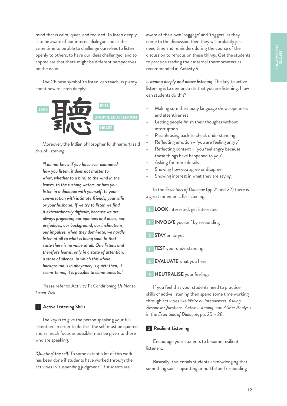BEFORE<br>THE DIALOGUE **THE DIALOGUEBEFORE** 

mind that is calm, quiet, and focused. To listen deeply is to be aware of our internal dialogue and at the same time to be able to challenge ourselves to listen openly to others, to have our ideas challenged, and to appreciate that there might be different perspectives on the issue.

The Chinese symbol 'to listen' can teach us plenty about how to listen deeply:



Moreover, the Indian philosopher Krishnamurti said this of listening:

*"I do not know if you have ever examined how you listen, it does not matter to what, whether to a bird, to the wind in the leaves, to the rushing waters, or how you listen in a dialogue with yourself, to your conversation with intimate friends, your wife or your husband. If we try to listen we find it extraordinarily difficult, because we are always projecting our opinions and ideas, our prejudices, our background, our inclinations, our impulses; when they dominate, we hardly listen at all to what is being said. In that state there is no value at all. One listens and therefore learns, only in a state of attention, a state of silence, in which this whole background is in abeyance, is quiet; then, it seems to me, it is possible to communicate."*

Please refer to Activity 11: *Conditioning Us Not to Listen Well*

### **<sup>1</sup>** Active Listening Skills

The key is to give the person speaking your full attention. In order to do this, the self must be quieted and as much focus as possible must be given to those who are speaking.

*'Quieting' the self:* To some extent a lot of this work has been done if students have worked through the activities in 'suspending judgment'. If students are

aware of their own 'baggage' and 'triggers' as they come to the discussion then they will probably just need time and reminders during the course of the discussion to refocus on these things. Get the students to practice reading their internal thermometers as recommended in Activity 9.

*Listening deeply and active listening:* The key to active listening is to demonstrate that you are listening. How can students do this?

- Making sure their body language shows openness and attentiveness
- Letting people finish their thoughts without interruption
- Paraphrasing back to check understanding
- Reflecting emotion 'you are feeling angry'
- Reflecting content 'you feel angry because these things have happened to you'
- Asking for more details
- Showing how you agree or disagree
- Showing interest in what they are saying

In the *Essentials of Dialogue* (pp.21 and 22) there is a great mnemonic for listening:

- **L LOOK** interested, get interested **I INVOLVE** yourself by responding **S STAY** on target **T TEST** your understanding **E EVALUATE** what you hear
	- **N NEUTRALISE** your feelings

If you feel that your students need to practice skills of active listening then spend some time working through activities like *We're all Interviewees*, *Asking Response Questions*, *Active Listening,* and *ASKer Analysis*  in the *Essentials of Dialogue*, pp. 25 – 28.

### **<sup>2</sup>** Resilient Listening

Encourage your students to become resilient listeners.

Basically, this entails students acknowledging that something said is upsetting or hurtful and responding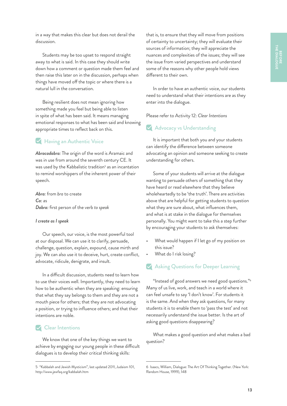in a way that makes this clear but does not derail the discussion.

Students may be too upset to respond straight away to what is said. In this case they should write down how a comment or question made them feel and then raise this later on in the discussion, perhaps when things have moved off the topic or where there is a natural lull in the conversation.

Being resilient does not mean ignoring how something made you feel but being able to listen in spite of what has been said. It means managing emotional responses to what has been said and knowing appropriate times to reflect back on this.

## **Having an Authentic Voice**

*Abracadabra:* The origin of the word is Aramaic and was in use from around the seventh century CE. It was used by the Kabbalistic tradition<sup>5</sup> as an incantation to remind worshippers of the inherent power of their speech.

*Abra:* from *bra* to create *Ca:* as *Dabra:* first person of the verb *to speak*

#### *I create as I speak*

Our speech, our voice, is the most powerful tool at our disposal. We can use it to clarify, persuade, challenge, question, explain, expound, cause mirth and joy. We can also use it to deceive, hurt, create conflict, advocate, ridicule, denigrate, and insult.

In a difficult discussion, students need to learn how to use their voices well. Importantly, they need to learn how to be authentic when they are speaking: ensuring that what they say belongs to them and they are not a mouth piece for others; that they are not advocating a position, or trying to influence others; and that their intentions are noble.

## **Clear Intentions**

We know that one of the key things we want to achieve by engaging our young people in these difficult dialogues is to develop their critical thinking skills:

that is, to ensure that they will move from positions of certainty to uncertainty; they will evaluate their sources of information; they will appreciate the nuances and complexities of the issues; they will see the issue from varied perspectives and understand some of the reasons why other people hold views different to their own.

In order to have an authentic voice, our students need to understand what their intentions are as they enter into the dialogue.

Please refer to Activity 12: *Clear Intentions*

## **Advocacy vs Understanding**

It is important that both you and your students can identify the difference between someone advocating an opinion and someone seeking to create understanding for others.

Some of your students will arrive at the dialogue wanting to persuade others of something that they have heard or read elsewhere that they believe wholeheartedly to be 'the truth'. There are activities above that are helpful for getting students to question what they are sure about, what influences them, and what is at stake in the dialogue for themselves personally. You might want to take this a step further by encouraging your students to ask themselves:

- What would happen if I let go of my position on this issue?
- What do I risk losing?

## **Asking Questions for Deeper Learning**

"Instead of good answers we need good questions."<sup>6</sup> Many of us live, work, and teach in a world where it can feel unsafe to say 'I don't know'. For students it is the same. And when they ask questions, for many students it is to enable them to 'pass the test' and not necessarily understand the issue better. Is the art of asking good questions disappearing?

What makes a good question and what makes a bad question?

<sup>5</sup> "Kabbalah and Jewish Mysticism", last updated 2011, Judaism 101, <http://www.jewfaq.org/kabbalah.htm>

<sup>6</sup> Isaacs, William, Dialogue: The Art Of Thinking Together. (New York: Random House, 1999), 148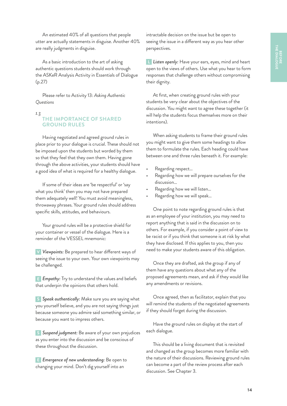An estimated 40% of all questions that people utter are actually statements in disguise. Another 40% are really judgments in disguise.

As a basic introduction to the art of asking authentic questions students should work through the ASKeR Analysis Activity in Essentials of Dialogue (p.27)

Please refer to Activity 13: *Asking Authentic Questions*

#### *1.3*

## **THE IMPORTANCE OF SHARED GROUND RULES**

Having negotiated and agreed ground rules in place prior to your dialogue is crucial. These should not be imposed upon the students but worded by them so that they feel that they own them. Having gone through the above activities, your students should have a good idea of what is required for a healthy dialogue.

If some of their ideas are 'be respectful' or 'say what you think' then you may not have prepared them adequately well! You must avoid meaningless, throwaway phrases. Your ground rules should address specific skills, attitudes, and behaviours.

Your ground rules will be a protective shield for your container or vessel of the dialogue. Here is a reminder of the VESSEL mnemonic:

**V** *Viewpoints:* Be prepared to hear different ways of seeing the issue to your own. Your own viewpoints may be challenged.

**E** *Empathy:* Try to understand the values and beliefs that underpin the opinions that others hold.

**S** *Speak authentically:* Make sure you are saying what you yourself believe, and you are not saying things just because someone you admire said something similar, or because you want to impress others.

**S** *Suspend judgment:* Be aware of your own prejudices as you enter into the discussion and be conscious of these throughout the discussion.

**E** *Emergence of new understanding:* Be open to changing your mind. Don't dig yourself into an

intractable decision on the issue but be open to seeing the issue in a different way as you hear other perspectives.

**L** *Listen openly:* Have your ears, eyes, mind and heart open to the views of others. Use what you hear to form responses that challenge others without compromising their dignity.

At first, when creating ground rules with your students be very clear about the objectives of the discussion. You might want to agree these together (it will help the students focus themselves more on their intentions).

When asking students to frame their ground rules you might want to give them some headings to allow them to formulate the rules. Each heading could have between one and three rules beneath it. For example:

- Regarding respect…
- Regarding how we will prepare ourselves for the discussion…
- Regarding how we will listen…
- Regarding how we will speak…

One point to note regarding ground rules is that as an employee of your institution, you may need to report anything that is said in the discussion on to others. For example, if you consider a point of view to be racist or if you think that someone is at risk by what they have disclosed. If this applies to you, then you need to make your students aware of this obligation.

Once they are drafted, ask the group if any of them have any questions about what any of the proposed agreements mean, and ask if they would like any amendments or revisions.

Once agreed, then as facilitator, explain that you will remind the students of the negotiated agreements if they should forget during the discussion.

Have the ground rules on display at the start of each dialogue.

This should be a living document that is revisited and changed as the group becomes more familiar with the nature of their discussions. Reviewing ground rules can become a part of the review process after each discussion. See Chapter 3.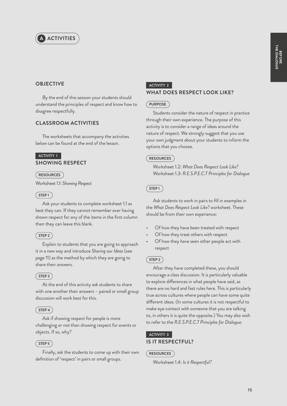

## **OBJECTIVE**

By the end of this session your students should understand the principles of respect and know how to disagree respectfully.

## **CLASSROOM ACTIVITIES**

The worksheets that accompany the activities below can be found at the end of the lesson.

## **ACTIVITY 1 SHOWING RESPECT**

#### **RESOURCES**

Worksheet 1.1: *Showing Respect*

### $(STEP1)$

Ask your students to complete worksheet 1.1 as best they can. If they cannot remember ever having shown respect for any of the items in the first column then they can leave this blank.

## $(STEP2)$

Explain to students that you are going to approach it in a new way and introduce *Sharing our Ideas* (see page 11) as the method by which they are going to share their answers.

## $(STEP3)$

At the end of this activity ask students to share with one another their answers – paired or small group discussion will work best for this.

### $(STEP4)$

Ask if showing respect for people is more challenging or not than showing respect for events or objects. If so, why?

## $(STEP 5)$

Finally, ask the students to come up with their own definition of 'respect' in pairs or small groups.

## **ACTIVITY 2**

## **WHAT DOES RESPECT LOOK LIKE?**

## **PURPOSE**

Students consider the nature of respect in practice through their own experience. The purpose of this activity is to consider a range of ideas around the nature of respect. We strongly suggest that you use your own judgment about your students to inform the options that you choose.

#### **RESOURCES**

Worksheet 1.2: *What Does Respect Look Like?*  Worksheet 1.3: *R.E.S.P.E.C.T Principles for Dialogue*

### **STEP 1**

Ask students to work in pairs to fill in examples in the *What Does Respect Look Like?* worksheet. These should be from their own experience:

- Of how they have been treated with respect
- Of how they treat others with respect
- Of how they have seen other people act with respect

### **STEP 2**

After they have completed these, you should encourage a class discussion. It is particularly valuable to explore differences in what people have said, as there are no hard and fast rules here. This is particularly true across cultures where people can have some quite different ideas. (In some cultures it is not respectful to make eye contact with someone that you are talking to, in others it is quite the opposite.) You may also wish to refer to the *R.E.S.P.E.C.T Principles for Dialogue*.

## **ACTIVITY 3 IS IT RESPECTFUL?**

### **RESOURCES**

Worksheet 1.4: *Is it Respectful?*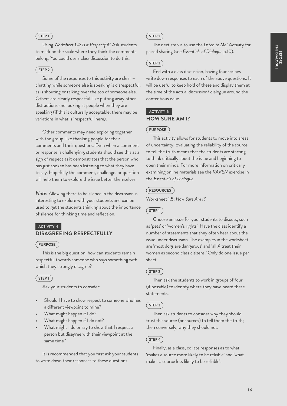## $(STEP1)$

Using *Worksheet 1.4: Is it Respectful?* Ask students to mark on the scale where they think the comments belong. You could use a class discussion to do this.

## $(STEP2)$

Some of the responses to this activity are clear – chatting while someone else is speaking is disrespectful, as is shouting or talking over the top of someone else. Others are clearly respectful, like putting away other distractions and looking at people when they are speaking (if this is culturally acceptable; there may be variations in what is 'respectful' here).

Other comments may need exploring together with the group, like thanking people for their comments and their questions. Even when a comment or response is challenging, students should see this as a sign of respect as it demonstrates that the person who has just spoken has been listening to what they have to say. Hopefully the comment, challenge, or question will help them to explore the issue better themselves.

*Note:* Allowing there to be silence in the discussion is interesting to explore with your students and can be used to get the students thinking about the importance of silence for thinking time and reflection.

## **ACTIVITY 4 DISAGREEING RESPECTFULLY**

### **PURPOSE**

This is the big question: how can students remain respectful towards someone who says something with which they strongly disagree?

## $(STEP1)$

Ask your students to consider:

- Should I have to show respect to someone who has a different viewpoint to mine?
- What might happen if I do?
- What might happen if I do not?
- What might I do or say to show that I respect a person but disagree with their viewpoint at the same time?

It is recommended that you first ask your students to write down their responses to these questions.

## $($  STEP 2  $)$

The next step is to use the *Listen to Me!* Activity for paired sharing (see *Essentials of Dialogue* p.10).

## $($  STEP 3  $)$

End with a class discussion, having four scribes write down responses to each of the above questions. It will be useful to keep hold of these and display them at the time of the actual discussion/ dialogue around the contentious issue.

## **ACTIVITY 5 HOW SURE AM I?**

## **PURPOSE**

This activity allows for students to move into areas of uncertainty. Evaluating the reliability of the source to tell the truth means that the students are starting to think critically about the issue and beginning to open their minds. For more information on critically examining online materials see the *RAVEN* exercise in the *Essentials of Dialogue*.

## **RESOURCES**

Worksheet 1.5: *How Sure Am I?*

## $(STEP1)$

Choose an issue for your students to discuss, such as 'pets' or 'women's rights'. Have the class identify a number of statements that they often hear about the issue under discussion. The examples in the worksheet are 'most dogs are dangerous' and 'all X treat their women as second class citizens.' Only do one issue per sheet.

## $(STEP 2)$

Then ask the students to work in groups of four (if possible) to identify where they have heard these statements.

## **STEP 3**

Then ask students to consider why they should trust this source (or sources) to tell them the truth; then conversely, why they should not.

## $($  STEP 4  $)$

Finally, as a class, collate responses as to what 'makes a source more likely to be reliable' and 'what makes a source less likely to be reliable'.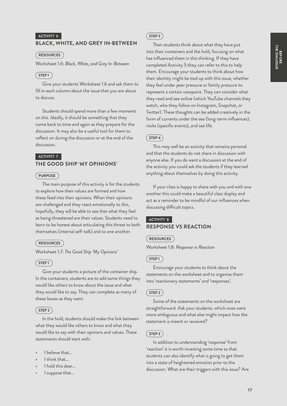#### **ACTIVITY 6**

## **BLACK, WHITE, AND GREY IN-BETWEEN**

**RESOURCES**

Worksheet 1.6: *Black, White, and Grey In-Between*

## $(STEP1)$

Give your students Worksheet 1.6 and ask them to fill in each column about the issue that you are about to discuss.

Students should spend more than a few moments on this. Ideally, it should be something that they come back to time and again as they prepare for the discussion. It may also be a useful tool for them to reflect on during the discussion or at the end of the discussion.

## **ACTIVITY 7 THE GOOD SHIP 'MY OPINIONS'**

#### **PURPOSE**

The main purpose of this activity is for the students to explore how their values are formed and how these feed into their opinions. When their opinions are challenged and they react emotionally to this, hopefully, they will be able to see that what they feel as being threatened are their values. Students need to learn to be honest about articulating this threat to both themselves (internal self-talk) and to one another.

### **RESOURCES**

Worksheet 1.7: *The Good Ship 'My Opinions'*

## $(STEP1)$

Give your students a picture of the container ship. In the containers, students are to add some things they would like others to know about the issue and what they would like to say. They can complete as many of these boxes as they want.

## **STEP 2**

In the hold, students should make the link between what they would like others to know and what they would like to say with their opinions and values. These statements should start with:

- I believe that...
- I think that…
- I hold this dear...
- I suppose that…

#### $($  STEP 3  $)$

Then students think about what they have put into their containers and the hold, focusing on what has influenced them in this thinking. If they have completed Activity 5 they can refer to this to help them. Encourage your students to think about how their identity might be tied up with this issue, whether they feel under peer pressure or family pressure to represent a certain viewpoint. They can consider what they read and see online (which YouTube channels they watch, who they follow on Instagram, Snapchat, or Twitter). These thoughts can be added creatively in the form of currents under the sea (long-term influences), rocks (specific events), and sea life.

## $(STEP 4)$

This may well be an activity that remains personal and that the students do not share in discussion with anyone else. If you do want a discussion at the end of the activity you could ask the students if they learned anything about themselves by doing this activity.

If your class is happy to share with you and with one another this could make a beautiful class display and act as a reminder to be mindful of our influences when discussing difficult topics.

## **ACTIVITY 8 RESPONSE VS REACTION**

#### **RESOURCES**

Worksheet 1.8: *Response vs Reaction*

#### **STEP 1**

Encourage your students to think about the statements on the worksheet and to organise them into 'reactionary statements' and 'responses'.

#### $(STEP 2)$

Some of the statements on the worksheet are straightforward. Ask your students: which ones were more ambiguous and what else might impact how the statement is meant or received?

#### $($  STEP 3  $)$

In addition to understanding 'response' from 'reaction' it is worth investing some time so that students can also identify what is going to get them into a state of heightened emotion prior to the discussion. What are their triggers with this issue? Are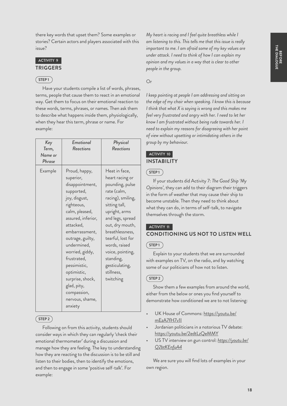there key words that upset them? Some examples or stories? Certain actors and players associated with this issue?

## **ACTIVITY 9**

## **TRIGGERS**

## $(STEP1$

Have your students compile a list of words, phrases, terms, people that cause them to react in an emotional way. Get them to focus on their emotional reaction to these words, terms, phrases, or names. Then ask them to describe what happens inside them, physiologically, when they hear this term, phrase or name. For example:

| Key<br>Term,<br>Name or<br>Phrase | Emotional<br>Reactions                                                                                                                                                                                                                                                                                                                                | Physical<br>Reactions                                                                                                                                                                                                                                                                                   |
|-----------------------------------|-------------------------------------------------------------------------------------------------------------------------------------------------------------------------------------------------------------------------------------------------------------------------------------------------------------------------------------------------------|---------------------------------------------------------------------------------------------------------------------------------------------------------------------------------------------------------------------------------------------------------------------------------------------------------|
| Example                           | Proud, happy,<br>superior,<br>disappointment,<br>supported,<br>joy, disgust,<br>righteous,<br>calm, pleased,<br>assured, inferior,<br>attacked,<br>embarrassment,<br>outrage, guilty,<br>undermined,<br>worried, giddy,<br>frustrated,<br>pessimistic,<br>optimistic,<br>surprise, shock,<br>glad, pity,<br>compassion,<br>nervous, shame,<br>anxiety | Heat in face,<br>heart racing or<br>pounding, pulse<br>rate (calm,<br>racing), smiling,<br>sitting tall,<br>upright, arms<br>and legs, spread<br>out, dry mouth,<br>breathlessness,<br>tearful, lost for<br>words, raised<br>voice, pointing,<br>standing,<br>gesticulating,<br>stillness,<br>twitching |

## **STEP 2**

Following on from this activity, students should consider ways in which they can regularly 'check their emotional thermometer' during a discussion and manage how they are feeling. The key to understanding how they are reacting to the discussion is to be still and listen to their bodies, then to identify the emotions, and then to engage in some 'positive self-talk'. For example:

*My heart is racing and I feel quite breathless while I am listening to this. This tells me that this issue is really important to me. I am afraid some of my key values are under attack. I need to think of how I can explain my opinion and my values in a way that is clear to other people in the group.*

## Or

*I keep pointing at people I am addressing and sitting on the edge of my chair when speaking. I know this is because I think that what X is saying is wrong and this makes me feel very frustrated and angry with her. I need to let her know I am frustrated without being rude towards her. I need to explain my reasons for disagreeing with her point of view without upsetting or intimidating others in the group by my behaviour.*

## **ACTIVITY 10 INSTABILITY**

## $G$ **STEP1**

If your students did Activity 7: *The Good Ship 'My Opinions'*, they can add to their diagram their triggers in the form of weather that may cause their ship to become unstable. Then they need to think about what they can do, in terms of self-talk, to navigate themselves through the storm.

## **ACTIVITY 11 CONDITIONING US NOT TO LISTEN WELL**

## $\binom{6}{5}$

Explain to your students that we are surrounded with examples on TV, on the radio, and by watching some of our politicians of how not to listen.

## **STEP 2**

Show them a few examples from around the world, either from the below or ones you find yourself to demonstrate how conditioned we are to not listening:

- UK House of Commons: [https://youtu.be/](https://youtu.be/mEzA7fH7v1I) [mEzA7fH7v1I](https://youtu.be/mEzA7fH7v1I)
- Jordanian politicians in a notorious TV debate: <https://youtu.be/2edtLzQeMMY>
- US TV interview on gun control: *[https://youtu.be/](https://youtu.be/Q2btKEnfuA4 ) [Q2btKEnfuA4](https://youtu.be/Q2btKEnfuA4 )*

We are sure you will find lots of examples in your own region.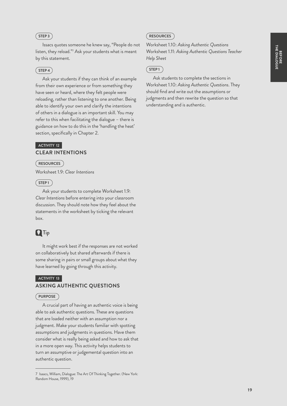## $(STEP3)$

Issacs quotes someone he knew say, "People do not listen, they reload."7 Ask your students what is meant by this statement.

## $(STEP4)$

Ask your students if they can think of an example from their own experience or from something they have seen or heard, where they felt people were reloading, rather than listening to one another. Being able to identify your own and clarify the intentions of others in a dialogue is an important skill. You may refer to this when facilitating the dialogue – there is guidance on how to do this in the 'handling the heat' section, specifically in Chapter 2.

## **ACTIVITY 12 CLEAR INTENTIONS**

#### **RESOURCES**

Worksheet 1.9: *Clear Intentions*

## $(STEP1)$

Ask your students to complete Worksheet 1.9: *Clear Intentions* before entering into your classroom discussion. They should note how they feel about the statements in the worksheet by ticking the relevant box.

## **Q**Tip

It might work best if the responses are not worked on collaboratively but shared afterwards if there is some sharing in pairs or small groups about what they have learned by going through this activity.

## **ACTIVITY 13 ASKING AUTHENTIC QUESTIONS**

#### **PURPOSE**

A crucial part of having an authentic voice is being able to ask authentic questions. These are questions that are loaded neither with an assumption nor a judgment. Make your students familiar with spotting assumptions and judgments in questions. Have them consider what is really being asked and how to ask that in a more open way. This activity helps students to turn an assumptive or judgemental question into an authentic question.

## **RESOURCES**

Worksheet 1.10: *Asking Authentic Questions* Worksheet 1.11: *Asking Authentic Questions Teacher Help Sheet*

## **STEP 1**

Ask students to complete the sections in Worksheet 1.10: *Asking Authentic Questions*. They should find and write out the assumptions or judgments and then rewrite the question so that understanding and is authentic.

<sup>7</sup> Isaacs, William, Dialogue: The Art Of Thinking Together. (New York: Random House, 1999), 19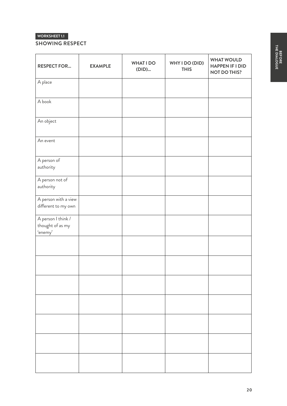## **SHOWING RESPECT**

| <b>RESPECT FOR</b>                                | <b>EXAMPLE</b> | <b>WHAT I DO</b><br>(DID) | WHY I DO (DID)<br><b>THIS</b> | <b>WHAT WOULD</b><br><b>HAPPEN IF I DID</b><br><b>NOT DO THIS?</b> |
|---------------------------------------------------|----------------|---------------------------|-------------------------------|--------------------------------------------------------------------|
| A place                                           |                |                           |                               |                                                                    |
| A book                                            |                |                           |                               |                                                                    |
| An object                                         |                |                           |                               |                                                                    |
| An event                                          |                |                           |                               |                                                                    |
| A person of<br>authority                          |                |                           |                               |                                                                    |
| A person not of<br>authority                      |                |                           |                               |                                                                    |
| A person with a view<br>different to my own       |                |                           |                               |                                                                    |
| A person I think /<br>thought of as my<br>'enemy' |                |                           |                               |                                                                    |
|                                                   |                |                           |                               |                                                                    |
|                                                   |                |                           |                               |                                                                    |
|                                                   |                |                           |                               |                                                                    |
|                                                   |                |                           |                               |                                                                    |
|                                                   |                |                           |                               |                                                                    |
|                                                   |                |                           |                               |                                                                    |
|                                                   |                |                           |                               |                                                                    |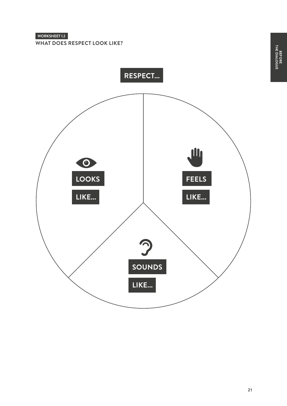**WHAT DOES RESPECT LOOK LIKE?**

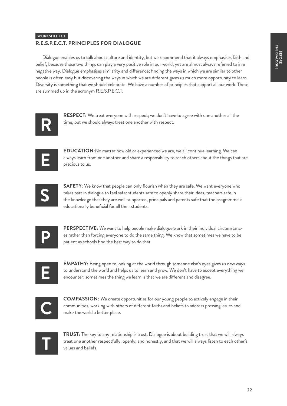## **R.E.S.P.E.C.T. PRINCIPLES FOR DIALOGUE**

Dialogue enables us to talk about culture and identity, but we recommend that it always emphasises faith and belief, because those two things can play a very positive role in our world, yet are almost always referred to in a negative way. Dialogue emphasises similarity and difference; finding the ways in which we are similar to other people is often easy but discovering the ways in which we are different gives us much more opportunity to learn. Diversity is something that we should celebrate. We have a number of principles that support all our work. These are summed up in the acronym R.E.S.P.E.C.T.



**RESPECT:** We treat everyone with respect; we don't have to agree with one another all the time, but we should always treat one another with respect.



**EDUCATION:**No matter how old or experienced we are, we all continue learning. We can always learn from one another and share a responsibility to teach others about the things that are precious to us.



**SAFETY:** We know that people can only flourish when they are safe. We want everyone who takes part in dialogue to feel safe: students safe to openly share their ideas, teachers safe in the knowledge that they are well-supported, principals and parents safe that the programme is educationally beneficial for all their students.

**P**

**PERSPECTIVE:** We want to help people make dialogue work in their individual circumstances rather than forcing everyone to do the same thing. We know that sometimes we have to be patient as schools find the best way to do that.

**E**

**EMPATHY:** Being open to looking at the world through someone else's eyes gives us new ways to understand the world and helps us to learn and grow. We don't have to accept everything we encounter; sometimes the thing we learn is that we are different and disagree.

**C**

**COMPASSION:** We create opportunities for our young people to actively engage in their communities, working with others of different faiths and beliefs to address pressing issues and make the world a better place.



**TRUST:** The key to any relationship is trust. Dialogue is about building trust that we will always treat one another respectfully, openly, and honestly, and that we will always listen to each other's values and beliefs.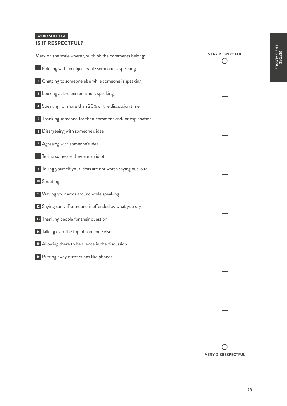## **IS IT RESPECTFUL?**

| Mark on the scale where you think the comments belong:         |
|----------------------------------------------------------------|
| <sup>1</sup> Fiddling with an object while someone is speaking |
| 2 Chatting to someone else while someone is speaking           |
| <b>3</b> Looking at the person who is speaking                 |
| 4 Speaking for more than 20% of the discussion time            |
| 5 Thanking someone for their comment and/ or explanation       |
| <sup>6</sup> Disagreeing with someone's idea                   |
| 7 Agreeing with someone's idea                                 |
| 8 Telling someone they are an idiot                            |
| 9 Telling yourself your ideas are not worth saying out loud    |
| 10 Shouting                                                    |
| 11 Waving your arms around while speaking                      |
| 12 Saying sorry if someone is offended by what you say         |
| 13 Thanking people for their question                          |
| 14 Talking over the top of someone else                        |
| <sup>15</sup> Allowing there to be silence in the discussion   |
| 16 Putting away distractions like phones                       |
|                                                                |

**VERY RESPECTFUL**

◯

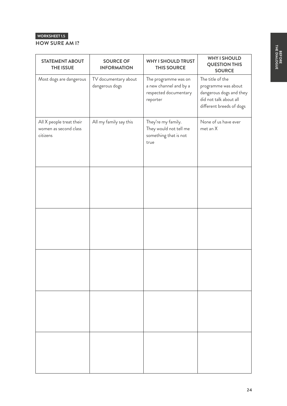## **HOW SURE AM I?**

| <b>STATEMENT ABOUT</b><br><b>THE ISSUE</b>                    | <b>SOURCE OF</b><br><b>INFORMATION</b> | <b>WHY I SHOULD TRUST</b><br><b>THIS SOURCE</b>                                     | <b>WHY I SHOULD</b><br><b>QUESTION THIS</b><br><b>SOURCE</b>                                                             |
|---------------------------------------------------------------|----------------------------------------|-------------------------------------------------------------------------------------|--------------------------------------------------------------------------------------------------------------------------|
| Most dogs are dangerous                                       | TV documentary about<br>dangerous dogs | The programme was on<br>a new channel and by a<br>respected documentary<br>reporter | The title of the<br>programme was about<br>dangerous dogs and they<br>did not talk about all<br>different breeds of dogs |
| All X people treat their<br>women as second class<br>citizens | All my family say this                 | They're my family.<br>They would not tell me<br>something that is not<br>true       | None of us have ever<br>met an X                                                                                         |
|                                                               |                                        |                                                                                     |                                                                                                                          |
|                                                               |                                        |                                                                                     |                                                                                                                          |
|                                                               |                                        |                                                                                     |                                                                                                                          |
|                                                               |                                        |                                                                                     |                                                                                                                          |
|                                                               |                                        |                                                                                     |                                                                                                                          |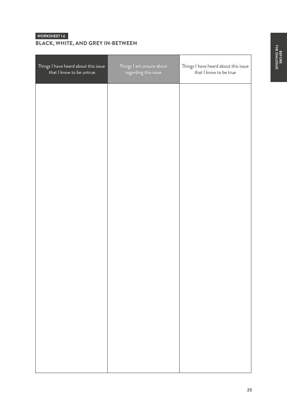## **WORKSHEET 1.6 BLACK, WHITE, AND GREY IN-BETWEEN**

| Things I have heard about this issue<br>that I know to be untrue | Things I am unsure about<br>regarding this issue | Things I have heard about this issue<br>that I know to be true |
|------------------------------------------------------------------|--------------------------------------------------|----------------------------------------------------------------|
|                                                                  |                                                  |                                                                |
|                                                                  |                                                  |                                                                |
|                                                                  |                                                  |                                                                |
|                                                                  |                                                  |                                                                |
|                                                                  |                                                  |                                                                |
|                                                                  |                                                  |                                                                |
|                                                                  |                                                  |                                                                |
|                                                                  |                                                  |                                                                |
|                                                                  |                                                  |                                                                |
|                                                                  |                                                  |                                                                |
|                                                                  |                                                  |                                                                |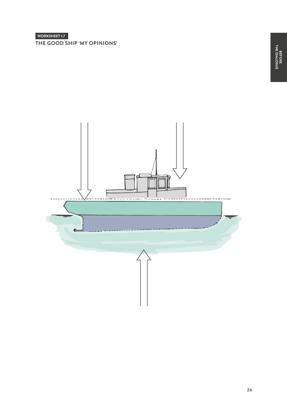**THE GOOD SHIP 'MY OPINIONS'**

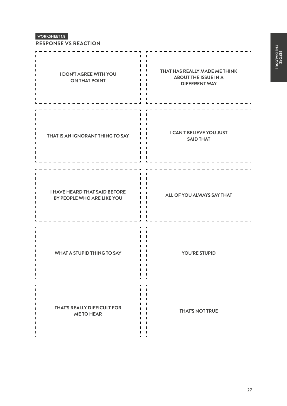**RESPONSE VS REACTION**

| <b>I DON'T AGREE WITH YOU</b><br><b>ON THAT POINT</b>              | THAT HAS REALLY MADE ME THINK<br><b>ABOUT THE ISSUE IN A</b><br><b>DIFFERENT WAY</b> |
|--------------------------------------------------------------------|--------------------------------------------------------------------------------------|
| THAT IS AN IGNORANT THING TO SAY                                   | <b>I CAN'T BELIEVE YOU JUST</b><br><b>SAID THAT</b>                                  |
| <b>I HAVE HEARD THAT SAID BEFORE</b><br>BY PEOPLE WHO ARE LIKE YOU | ALL OF YOU ALWAYS SAY THAT                                                           |
| <b>WHAT A STUPID THING TO SAY</b>                                  | <b>YOU'RE STUPID</b>                                                                 |
| <b>THAT'S REALLY DIFFICULT FOR</b><br><b>ME TO HEAR</b>            | <b>THAT'S NOT TRUE</b>                                                               |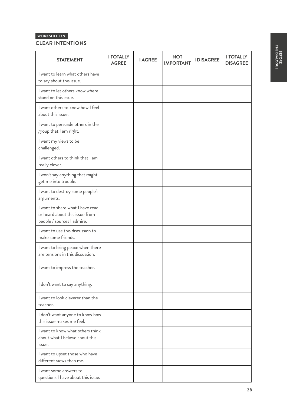| <b>CLEAR INTENTIONS</b> |  |
|-------------------------|--|
|-------------------------|--|

| <b>STATEMENT</b>                                                                                 | <b>I TOTALLY</b><br><b>AGREE</b> | <b>I AGREE</b> | <b>NOT</b><br><b>IMPORTANT</b> | <b>I DISAGREE</b> | <b>I TOTALLY</b><br><b>DISAGREE</b> |
|--------------------------------------------------------------------------------------------------|----------------------------------|----------------|--------------------------------|-------------------|-------------------------------------|
| I want to learn what others have<br>to say about this issue.                                     |                                  |                |                                |                   |                                     |
| I want to let others know where I<br>stand on this issue.                                        |                                  |                |                                |                   |                                     |
| I want others to know how I feel<br>about this issue.                                            |                                  |                |                                |                   |                                     |
| I want to persuade others in the<br>group that I am right.                                       |                                  |                |                                |                   |                                     |
| I want my views to be<br>challenged.                                                             |                                  |                |                                |                   |                                     |
| I want others to think that I am<br>really clever.                                               |                                  |                |                                |                   |                                     |
| I won't say anything that might<br>get me into trouble.                                          |                                  |                |                                |                   |                                     |
| I want to destroy some people's<br>arguments.                                                    |                                  |                |                                |                   |                                     |
| I want to share what I have read<br>or heard about this issue from<br>people / sources I admire. |                                  |                |                                |                   |                                     |
| I want to use this discussion to<br>make some friends.                                           |                                  |                |                                |                   |                                     |
| I want to bring peace when there<br>are tensions in this discussion.                             |                                  |                |                                |                   |                                     |
| I want to impress the teacher.                                                                   |                                  |                |                                |                   |                                     |
| I don't want to say anything.                                                                    |                                  |                |                                |                   |                                     |
| I want to look cleverer than the<br>teacher.                                                     |                                  |                |                                |                   |                                     |
| I don't want anyone to know how<br>this issue makes me feel.                                     |                                  |                |                                |                   |                                     |
| I want to know what others think<br>about what I believe about this<br>issue.                    |                                  |                |                                |                   |                                     |
| I want to upset those who have<br>different views than me.                                       |                                  |                |                                |                   |                                     |
| want some answers to<br>questions I have about this issue.                                       |                                  |                |                                |                   |                                     |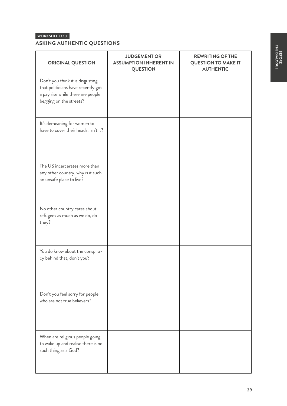## **ASKING AUTHENTIC QUESTIONS**

| <b>ORIGINAL QUESTION</b>                                                                                                               | <b>JUDGEMENT OR</b><br><b>ASSUMPTION INHERENT IN</b><br><b>QUESTION</b> | <b>REWRITING OF THE</b><br><b>QUESTION TO MAKE IT</b><br><b>AUTHENTIC</b> |
|----------------------------------------------------------------------------------------------------------------------------------------|-------------------------------------------------------------------------|---------------------------------------------------------------------------|
| Don't you think it is disgusting<br>that politicians have recently got<br>a pay rise while there are people<br>begging on the streets? |                                                                         |                                                                           |
| It's demeaning for women to<br>have to cover their heads, isn't it?                                                                    |                                                                         |                                                                           |
| The US incarcerates more than<br>any other country, why is it such<br>an unsafe place to live?                                         |                                                                         |                                                                           |
| No other country cares about<br>refugees as much as we do, do<br>they?                                                                 |                                                                         |                                                                           |
| You do know about the conspira-<br>cy behind that, don't you?                                                                          |                                                                         |                                                                           |
| Don't you feel sorry for people<br>who are not true believers?                                                                         |                                                                         |                                                                           |
| When are religious people going<br>to wake up and realise there is no<br>such thing as a God?                                          |                                                                         |                                                                           |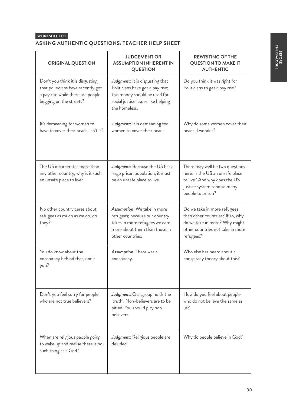## **ASKING AUTHENTIC QUESTIONS: TEACHER HELP SHEET**

| <b>ORIGINAL QUESTION</b>                                                                                                               | <b>JUDGEMENT OR</b><br><b>ASSUMPTION INHERENT IN</b><br><b>QUESTION</b>                                                                                     | <b>REWRITING OF THE</b><br><b>QUESTION TO MAKE IT</b><br><b>AUTHENTIC</b>                                                                              |
|----------------------------------------------------------------------------------------------------------------------------------------|-------------------------------------------------------------------------------------------------------------------------------------------------------------|--------------------------------------------------------------------------------------------------------------------------------------------------------|
| Don't you think it is disgusting<br>that politicians have recently got<br>a pay rise while there are people<br>begging on the streets? | Judgment: It is disgusting that<br>Politicians have got a pay rise;<br>this money should be used for<br>social justice issues like helping<br>the homeless. | Do you think it was right for<br>Politicians to get a pay rise?                                                                                        |
| It's demeaning for women to<br>have to cover their heads, isn't it?                                                                    | Judgment: It is demeaning for<br>women to cover their heads.                                                                                                | Why do some women cover their<br>heads, I wonder?                                                                                                      |
| The US incarcerates more than<br>any other country, why is it such<br>an unsafe place to live?                                         | Judgment: Because the US has a<br>large prison population, it must<br>be an unsafe place to live.                                                           | There may well be two questions<br>here: Is the US an unsafe place<br>to live? And why does the US<br>justice system send so many<br>people to prison? |
| No other country cares about<br>refugees as much as we do, do<br>they?                                                                 | Assumption: We take in more<br>refugees; because our country<br>takes in more refugees we care<br>more about them than those in<br>other countries.         | Do we take in more refugees<br>than other countries? If so, why<br>do we take in more? Why might<br>other countries not take in more<br>refugees?      |
| You do know about the<br>conspiracy behind that, don't<br>you?                                                                         | Assumption: There was a<br>conspiracy.                                                                                                                      | Who else has heard about a<br>conspiracy theory about this?                                                                                            |
| Don't you feel sorry for people<br>who are not true believers?                                                                         | Judgment: Our group holds the<br>'truth'. Non-believers are to be<br>pitied. You should pity non-<br>believers.                                             | How do you feel about people<br>who do not believe the same as<br>us?                                                                                  |
| When are religious people going<br>to wake up and realise there is no<br>such thing as a God?                                          | Judgment: Religious people are<br>deluded.                                                                                                                  | Why do people believe in God?                                                                                                                          |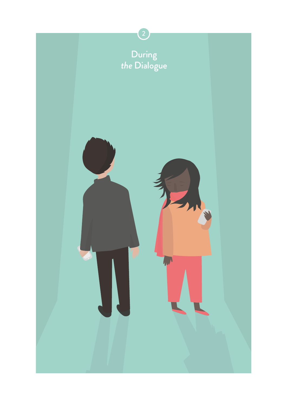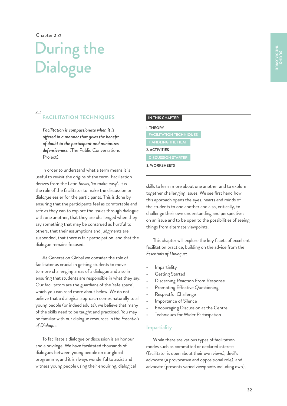Chapter *2.0* 

## During the **Dialogue**

#### *2.1*

## **FACILITATION TECHNIQUES**

*Facilitation is compassionate when it is offered in a manner that gives the benefit of doubt to the participant and minimizes defensiveness.* (The Public Conversations Project).

In order to understand what a term means it is useful to revisit the origins of the term. Facilitation derives from the Latin *facilis*, 'to make easy'. It is the role of the facilitator to make the discussion or dialogue easier for the participants. This is done by ensuring that the participants feel as comfortable and safe as they can to explore the issues through dialogue with one another, that they are challenged when they say something that may be construed as hurtful to others, that their assumptions and judgments are suspended, that there is fair participation, and that the dialogue remains focused.

At Generation Global we consider the role of facilitator as crucial in getting students to move to more challenging areas of a dialogue and also in ensuring that students are responsible in what they say. Our facilitators are the guardians of the 'safe space', which you can read more about below. We do not believe that a dialogical approach comes naturally to all young people (or indeed adults), we believe that many of the skills need to be taught and practiced. You may be familiar with our dialogue resources in the *Essentials of Dialogue*.

To facilitate a dialogue or discussion is an honour and a privilege. We have facilitated thousands of dialogues between young people on our global programme, and it is always wonderful to assist and witness young people using their enquiring, dialogical

| IN THIS CHAPTER |  |
|-----------------|--|

#### **1. THEORY**

| <b>FACILITATION TECHNIQUES</b> |  |
|--------------------------------|--|
| <b>HANDLING THE HEAT</b>       |  |
| 2. ACTIVITIES                  |  |
| <b>DISCUSSION STARTER</b>      |  |
| 3. WORKSHEETS                  |  |

skills to learn more about one another and to explore together challenging issues. We see first hand how this approach opens the eyes, hearts and minds of the students to one another and also, critically, to challenge their own understanding and perspectives on an issue and to be open to the possibilities of seeing things from alternate viewpoints.

This chapter will explore the key facets of excellent facilitation practice, building on the advice from the *Essentials of Dialogue*:

- Impartiality
- Getting Started
- Discerning Reaction From Response
- Promoting Effective Questioning
- Respectful Challenge
- Importance of Silence
- Encouraging Discussion at the Centre
- Techniques for Wider Participation

## **Impartiality**

While there are various types of facilitation modes such as committed or declared interest (facilitator is open about their own views), devil's advocate (a provocative and oppositional role), and advocate (presents varied viewpoints including own),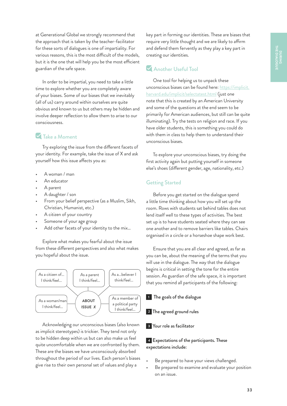at Generational Global we strongly recommend that the approach that is taken by the teacher-facilitator for these sorts of dialogues is one of impartiality. For various reasons, this is the most difficult of the models, but it is the one that will help you be the most efficient guardian of the safe space.

In order to be impartial, you need to take a little time to explore whether you are completely aware of your biases. Some of our biases that we inevitably (all of us) carry around within ourselves are quite obvious and known to us but others may be hidden and involve deeper reflection to allow them to arise to our consciousness.

## **V** Take a Moment

Try exploring the issue from the different facets of your identity. For example, take the issue of X and ask yourself how this issue affects you as:

- A woman / man
- An educator
- A parent
- A daughter / son
- From your belief perspective (as a Muslim, Sikh, Christian, Humanist, etc.)
- A citizen of your country
- Someone of your age group
- Add other facets of your identity to the mix...

Explore what makes you fearful about the issue from these different perspectives and also what makes you hopeful about the issue.



Acknowledging our unconscious biases (also known as implicit stereotypes) is trickier. They tend not only to be hidden deep within us but can also make us feel quite uncomfortable when we are confronted by them. These are the biases we have unconsciously absorbed throughout the period of our lives. Each person's biases give rise to their own personal set of values and play a

key part in forming our identities. These are biases that require very little thought and we are likely to affirm and defend them fervently as they play a key part in creating our identities.

## Another Useful Tool

One tool for helping us to unpack these unconscious biases can be found here: [https://implicit.](https://implicit.harvard.edu/implicit/selectatest.html) [harvard.edu/implicit/selectatest.html](https://implicit.harvard.edu/implicit/selectatest.html) (just one note that this is created by an American University and some of the questions at the end seem to be primarily for American audiences, but still can be quite illuminating). Try the tests on religion and race. If you have older students, this is something you could do with them in class to help them to understand their unconscious biases.

To explore your unconscious biases, try doing the first activity again but putting yourself in someone else's shoes (different gender, age, nationality, etc.)

## Getting Started

Before you get started on the dialogue spend a little time thinking about how you will set up the room. Rows with students sat behind tables does not lend itself well to these types of activities. The best set up is to have students seated where they can see one another and to remove barriers like tables. Chairs organised in a circle or a horseshoe shape work best.

Ensure that you are all clear and agreed, as far as you can be, about the meaning of the terms that you will use in the dialogue. The way that the dialogue begins is critical in setting the tone for the entire session. As guardian of the safe space, it is important that you remind all participants of the following:

**1** The goals of the dialogue

**<sup>2</sup>** The agreed ground rules

**<sup>3</sup>** Your role as facilitator

**4** Expectations of the participants. These expectations include:

- Be prepared to have your views challenged.
- Be prepared to examine and evaluate your position on an issue.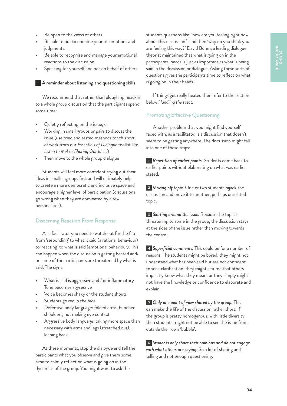- Be open to the views of others.
- Be able to put to one side your assumptions and judgments.
- Be able to recognise and manage your emotional reactions to the discussion.
- Speaking for yourself and not on behalf of others.

**<sup>5</sup>** A reminder about listening and questioning skills

We recommend that rather than ploughing head-in to a whole group discussion that the participants spend some time:

- Quietly reflecting on the issue, or
- Working in small groups or pairs to discuss the issue (use tried and tested methods for this sort of work from our *Essentials of Dialogue* toolkit like *Listen to Me!* or *Sharing Our Ideas*)
- Then move to the whole group dialogue

Students will feel more confident trying out their ideas in smaller groups first and will ultimately help to create a more democratic and inclusive space and encourage a higher level of participation (discussions go wrong when they are dominated by a few personalities).

### Discerning Reaction From Response

As a facilitator you need to watch out for the flip from 'responding' to what is said (a rational behaviour) to 'reacting' to what is said (emotional behaviour). This can happen when the discussion is getting heated and/ or some of the participants are threatened by what is said. The signs:

- What is said is aggressive and / or inflammatory Tone becomes aggressive
- Voice becomes shaky or the student shouts
- Students go red in the face
- Defensive body language: folded arms, hunched shoulders, not making eye contact
- Aggressive body language: taking more space than necessary with arms and legs (stretched out), leaning back

At these moments, stop the dialogue and tell the participants what you observe and give them some time to calmly reflect on what is going on in the dynamics of the group. You might want to ask the

students questions like, 'how are you feeling right now about this discussion?' and then 'why do you think you are feeling this way?' David Bohm, a leading dialogue theorist maintained that what is going on in the participants' heads is just as important as what is being said in the discussion or dialogue. Asking these sorts of questions gives the participants time to reflect on what is going on in their heads.

If things get really heated then refer to the section below *Handling the Heat.*

## Prompting Effective Questioning

Another problem that you might find yourself faced with, as a facilitator, is a discussion that doesn't seem to be getting anywhere. The discussion might fall into one of these traps:

**<sup>1</sup>** *Repetition of earlier points.* Students come back to earlier points without elaborating on what was earlier stated.

**<sup>2</sup>** *Moving off topic.* One or two students hijack the discussion and move it to another, perhaps unrelated topic.

**<sup>3</sup>** *Skirting around the issue.* Because the topic is threatening to some in the group, the discussion stays at the sides of the issue rather than moving towards the centre.

**<sup>4</sup>** *Superficial comments.* This could be for a number of reasons. The students might be bored, they might not understand what has been said but are not confident to seek clarification, they might assume that others implicitly know what they mean, or they simply might not have the knowledge or confidence to elaborate and explain.

**<sup>5</sup>** *Only one point of view shared by the group.* This can make the life of the discussion rather short. If the group is pretty homogenous, with little diversity, then students might not be able to see the issue from outside their own 'bubble'.

**<sup>6</sup>** *Students only share their opinions and do not engage with what others are saying.* So a lot of sharing and telling and not enough questioning.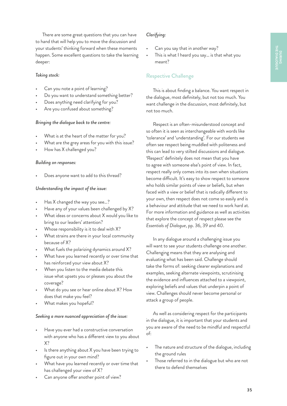There are some great questions that you can have to hand that will help you to move the discussion and your students' thinking forward when these moments happen. Some excellent questions to take the learning deeper:

### *Taking stock:*

- Can you note a point of learning?
- Do you want to understand something better?
- Does anything need clarifying for you?
- Are you confused about something?

#### *Bringing the dialogue back to the centre:*

- What is at the heart of the matter for you?
- What are the grey areas for you with this issue?
- How has X challenged you?

#### *Building on responses:*

Does anyone want to add to this thread?

#### *Understanding the impact of the issue:*

- Has X changed the way you see…?
- Have any of your values been challenged by X?
- What ideas or concerns about X would you like to bring to our leaders' attention?
- Whose responsibility is it to deal with X?
- What strains are there in your local community because of X?
- What fuels the polarizing dynamics around X?
- What have you learned recently or over time that has reinforced your view about X?
- When you listen to the media debate this issue what upsets you or pleases you about the coverage?
- What do you see or hear online about X? How does that make you feel?
- What makes you hopeful?

#### *Seeking a more nuanced appreciation of the issue:*

- Have you ever had a constructive conversation with anyone who has a different view to you about X?
- Is there anything about X you have been trying to figure out in your own mind?
- What have you learned recently or over time that has challenged your view of X?
- Can anyone offer another point of view?

#### *Clarifying:*

- Can you say that in another way?
- This is what I heard you say... is that what you meant?

## Respective Challenge

This is about finding a balance. You want respect in the dialogue, most definitely, but not too much. You want challenge in the discussion, most definitely, but not too much.

Respect is an often-misunderstood concept and so often it is seen as interchangeable with words like 'tolerance' and 'understanding'. For our students we often see respect being muddled with politeness and this can lead to very stilted discussions and dialogue. 'Respect' definitely does not mean that you have to agree with someone else's point of view. In fact, respect really only comes into its own when situations become difficult. It's easy to show respect to someone who holds similar points of view or beliefs, but when faced with a view or belief that is radically different to your own, then respect does not come so easily and is a behaviour and attitude that we need to work hard at. For more information and guidance as well as activities that explore the concept of respect please see the *Essentials of Dialogue*, pp. 36, 39 and 40.

In any dialogue around a challenging issue you will want to see your students challenge one another. Challenging means that they are analysing and evaluating what has been said. Challenge should take the forms of: seeking clearer explanations and examples, seeking alternate viewpoints, scrutinising the evidence and influences attached to a viewpoint, exploring beliefs and values that underpin a point of view. Challenges should never become personal or attack a group of people.

As well as considering respect for the participants in the dialogue, it is important that your students and you are aware of the need to be mindful and respectful of:

- The nature and structure of the dialogue, including the ground rules
- Those referred to in the dialogue but who are not there to defend themselves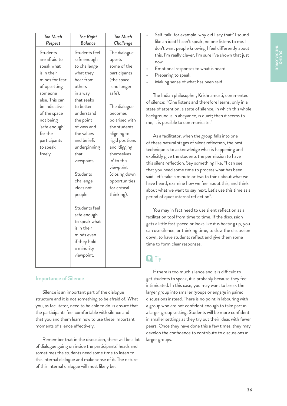| Too Much<br>Respect                                                                                                                                                                                                                    | The Right<br>Balance                                                                                                                                                                                                                                                                                                                                                                              | Too Much<br>Challenge                                                                                                                                                                                                                                                                                                  |
|----------------------------------------------------------------------------------------------------------------------------------------------------------------------------------------------------------------------------------------|---------------------------------------------------------------------------------------------------------------------------------------------------------------------------------------------------------------------------------------------------------------------------------------------------------------------------------------------------------------------------------------------------|------------------------------------------------------------------------------------------------------------------------------------------------------------------------------------------------------------------------------------------------------------------------------------------------------------------------|
| Students<br>are afraid to<br>speak what<br>is in their<br>minds for fear<br>of upsetting<br>someone<br>else. This can<br>be indicative<br>of the space<br>not being<br>'safe enough'<br>for the<br>participants<br>to speak<br>freely. | Students feel<br>safe enough<br>to challenge<br>what they<br>hear from<br>others<br>in a way<br>that seeks<br>to better<br>understand<br>the point<br>of view and<br>the values<br>and beliefs<br>underpinning<br>that<br>viewpoint.<br>Students<br>challenge<br>ideas not<br>people.<br>Students feel<br>safe enough<br>to speak what<br>is in their<br>minds even<br>if they hold<br>a minority | The dialogue<br>upsets<br>some of the<br>participants<br>(the space<br>is no longer<br>safe).<br>The dialogue<br>becomes<br>polarised with<br>the students<br>aligning to<br>rigid positions<br>and 'digging<br>themselves<br>in' to this<br>viewpoint<br>(closing down<br>opportunities<br>for critical<br>thinking). |
|                                                                                                                                                                                                                                        | viewpoint.                                                                                                                                                                                                                                                                                                                                                                                        |                                                                                                                                                                                                                                                                                                                        |

## Importance of Silence

Silence is an important part of the dialogue structure and it is not something to be afraid of. What you, as facilitator, need to be able to do, is ensure that the participants feel comfortable with silence and that you and them learn how to use these important moments of silence effectively.

Remember that in the discussion, there will be a lot of dialogue going on inside the participants' heads and sometimes the students need some time to listen to this internal dialogue and make sense of it. The nature of this internal dialogue will most likely be:

- Self-talk: for example, why did I say that? I sound like an idiot! I can't speak, no one listens to me. I don't want people knowing I feel differently about this. I'm really clever, I'm sure I've shown that just now
- Emotional responses to what is heard
- Preparing to speak
- Making sense of what has been said

The Indian philosopher, Krishnamurti, commented of silence: "One listens and therefore learns, only in a state of attention, a state of silence, in which this whole background is in abeyance, is quiet; then it seems to me, it is possible to communicate."

As a facilitator, when the group falls into one of these natural stages of silent reflection, the best technique is to acknowledge what is happening and explicitly give the students the permission to have this silent reflection. Say something like, "I can see that you need some time to process what has been said, let's take a minute or two to think about what we have heard, examine how we feel about this, and think about what we want to say next. Let's use this time as a period of quiet internal reflection".

You may in fact need to use silent reflection as a facilitation tool from time to time. If the discussion gets a little fast-paced or looks like it is heating up, you can use silence, or thinking time, to slow the discussion down, to have students reflect and give them some time to form clear responses.

## **Q** Tip

If there is too much silence and it is difficult to get students to speak, it is probably because they feel intimidated. In this case, you may want to break the larger group into smaller groups or engage in paired discussions instead. There is no point in labouring with a group who are not confident enough to take part in a larger group setting. Students will be more confident in smaller settings as they try out their ideas with fewer peers. Once they have done this a few times, they may develop the confidence to contribute to discussions in larger groups.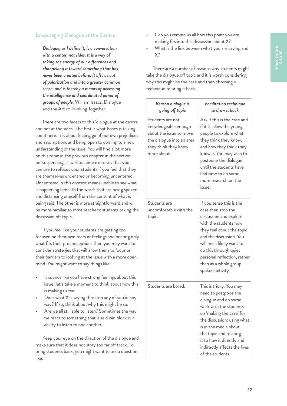## Encouraging Dialogue at the Centre

*Dialogue, as I define it, is a conversation with a center, not sides. It is a way of taking the energy of our differences and channelling it toward something that has never been created before. It lifts us out of polarization and into a greater common sense, and is thereby a means of accessing the intelligence and coordinated power of groups of people.* William Isaacs, Dialogue and the Art of Thinking Together.

There are two facets to this 'dialogue at the centre and not at the sides'. The first is what Isaacs is talking about here. It is about letting go of our own prejudices and assumptions and being open to coming to a new understanding of the issue. You will find a lot more on this topic in the previous chapter in the section on 'suspending' as well as some exercises that you can use to refocus your students if you feel that they are themselves uncentred or becoming uncentered. Uncentered in this context means unable to see what is happening beneath the words that are being spoken and distancing oneself from the content of what is being said. The other is more straightforward and will be more familiar to most teachers: students taking the discussion off topic.

If you feel like your students are getting too focused on their own fears or feelings and hearing only what fits their preconceptions then you may want to consider strategies that will allow them to focus on their barriers to looking at the issue with a more open mind. You might want to say things like:

- It sounds like you have strong feelings about this issue; let's take a moment to think about how this is making us feel.
- Does what X is saying threaten any of you in any way? If so, think about why this might be so.
- Are we all still able to listen? Sometimes the way we react to something that is said can block our ability to listen to one another.

Keep your eye on the direction of the dialogue and make sure that it does not stray too far off track. To bring students back, you might want to ask a question like:

- Can you remind us all how this point you are making fits into this discussion about X?
- What is the link between what you are saying and X?

There are a number of reasons why students might take the dialogue off topic and it is worth considering why this might be the case and then choosing a technique to bring it back.

| Reason dialogue is<br>going off topic                                                                                                   | Facilitation technique<br>to draw it back                                                                                                                                                                                                                                                      |
|-----------------------------------------------------------------------------------------------------------------------------------------|------------------------------------------------------------------------------------------------------------------------------------------------------------------------------------------------------------------------------------------------------------------------------------------------|
| Students are not<br>knowledgeable enough<br>about the issue so move<br>the dialogue into an area<br>they think they know<br>more about. | Ask if this is the case and<br>if it is, allow the young<br>people to explore what<br>they think they know,<br>and how they think they<br>know it. You may wish to<br>postpone the dialogue<br>until the students have<br>had time to do some<br>more research on the<br>issue.                |
| Students are<br>uncomfortable with the<br>topic.                                                                                        | If you sense this is the<br>case then stop the<br>discussion and explore<br>with the students how<br>they feel about the topic<br>and the discussion. You<br>will most likely want to<br>do this through quiet<br>personal reflection, rather<br>than as a whole group<br>spoken activity.     |
| Students are bored.                                                                                                                     | This is tricky. You may<br>need to postpone the<br>dialogue and do some<br>work with the students<br>on 'making the case' for<br>the discussion: using what<br>is in the media about<br>the topic and relating<br>it to how it directly and<br>indirectly affects the lives<br>of the students |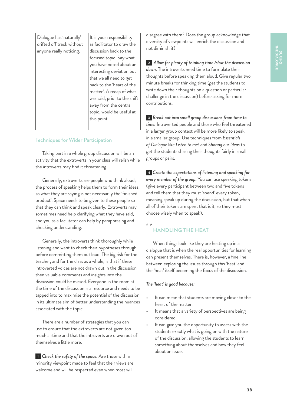| Dialogue has 'naturally'<br>drifted off track without<br>anyone really noticing. | It is your responsibility<br>as facilitator to draw the<br>discussion back to the<br>focused topic. Say what<br>you have noted about an<br>interesting deviation but |
|----------------------------------------------------------------------------------|----------------------------------------------------------------------------------------------------------------------------------------------------------------------|
|                                                                                  | that we all need to get                                                                                                                                              |
|                                                                                  | back to the 'heart of the                                                                                                                                            |
|                                                                                  | matter'. A recap of what                                                                                                                                             |
|                                                                                  | was said, prior to the shift                                                                                                                                         |
|                                                                                  | away from the central                                                                                                                                                |
|                                                                                  | topic, would be useful at                                                                                                                                            |
|                                                                                  | this point.                                                                                                                                                          |
|                                                                                  |                                                                                                                                                                      |

## Techniques for Wider Participation

Taking part in a whole group discussion will be an activity that the extroverts in your class will relish while the introverts may find it threatening.

Generally, extroverts are people who think aloud; the process of speaking helps them to form their ideas, so what they are saying is not necessarily the 'finished product'. Space needs to be given to these people so that they can think and speak clearly. Extroverts may sometimes need help clarifying what they have said, and you as a facilitator can help by paraphrasing and checking understanding.

Generally, the introverts think thoroughly while listening and want to check their hypotheses through before committing them out loud. The big risk for the teacher, and for the class as a whole, is that if these introverted voices are not drawn out in the discussion then valuable comments and insights into the discussion could be missed. Everyone in the room at the time of the discussion is a resource and needs to be tapped into to maximise the potential of the discussion in its ultimate aim of better understanding the nuances associated with the topic.

There are a number of strategies that you can use to ensure that the extroverts are not given too much airtime and that the introverts are drawn out of themselves a little more.

**<sup>1</sup>** *Check the safety of the space.* Are those with a minority viewpoint made to feel that their views are welcome and will be respected even when most will

disagree with them? Does the group acknowledge that diversity of viewpoints will enrich the discussion and not diminish it?

**<sup>2</sup>** *Allow for plenty of thinking time /slow the discussion down.* The introverts need time to formulate their thoughts before speaking them aloud. Give regular two minute breaks for thinking time (get the students to write down their thoughts on a question or particular challenge in the discussion) before asking for more contributions.

**<sup>3</sup>** *Break out into small group discussions from time to time.* Introverted people and those who feel threatened in a larger group context will be more likely to speak in a smaller group. Use techniques from *Essentials of Dialogue* like *Listen to me!* and *Sharing our Ideas* to get the students sharing their thoughts fairly in small groups or pairs.

**<sup>4</sup>** *Create the expectations of listening and speaking for every member of the group.* You can use speaking tokens (give every participant between two and five tokens and tell them that they must 'spend' every token, meaning speak up during the discussion, but that when all of their tokens are spent that is it, so they must choose wisely when to speak).

## *2.2*

## **HANDLING THE HEAT**

When things look like they are heating up in a dialogue that is when the real opportunities for learning can present themselves. There is, however, a fine line between exploring the issues through this 'heat' and the 'heat' itself becoming the focus of the discussion.

### *The 'heat' is good because:*

- It can mean that students are moving closer to the heart of the matter.
- It means that a variety of perspectives are being considered.
- It can give you the opportunity to assess with the students exactly what is going on with the nature of the discussion, allowing the students to learn something about themselves and how they feel about an issue.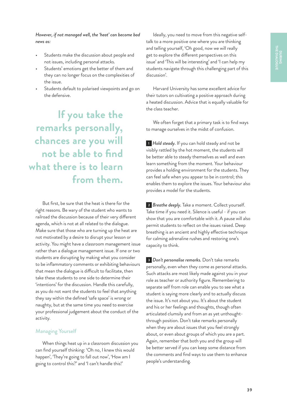### *However, if not managed well, the 'heat' can become bad news as:*

- Students make the discussion about people and not issues, including personal attacks.
- Students' emotions get the better of them and they can no longer focus on the complexities of the issue.
- Students default to polarised viewpoints and go on the defensive.

**If you take the remarks personally, chances are you will not be able to find what there is to learn from them.**

But first, be sure that the heat is there for the right reasons. Be wary of the student who wants to railroad the discussion because of their very different agenda, which is not at all related to the dialogue. Make sure that those who are turning up the heat are not motivated by a desire to disrupt your lesson or activity. You might have a classroom management issue rather than a dialogue management issue. If one or two students are disrupting by making what you consider to be inflammatory comments or exhibiting behaviours that mean the dialogue is difficult to facilitate, then take these students to one side to determine their 'intentions' for the discussion. Handle this carefully, as you do not want the students to feel that anything they say within the defined 'safe space' is wrong or naughty, but at the same time you need to exercise your professional judgement about the conduct of the activity.

### Managing Yourself

When things heat up in a classroom discussion you can find yourself thinking: 'Oh no, I knew this would happen', 'They're going to fall out now', 'How am I going to control this?' and 'I can't handle this!'

Ideally, you need to move from this negative selftalk to a more positive one where you are thinking and telling yourself, 'Oh good, now we will really get to explore the different perspectives on this issue' and 'This will be interesting' and 'I can help my students navigate through this challenging part of this discussion'.

Harvard University has some excellent advice for their tutors on cultivating a positive approach during a heated discussion. Advice that is equally valuable for the class teacher.

We often forget that a primary task is to find ways to manage ourselves in the midst of confusion.

**<sup>1</sup>** *Hold steady.* If you can hold steady and not be visibly rattled by the hot moment, the students will be better able to steady themselves as well and even learn something from the moment. Your behaviour provides a holding environment for the students. They can feel safe when you appear to be in control; this enables them to explore the issues. Your behaviour also provides a model for the students.

**<sup>2</sup>** *Breathe deeply.* Take a moment. Collect yourself. Take time if you need it. Silence is useful - if you can show that you are comfortable with it. A pause will also permit students to reflect on the issues raised. Deep breathing is an ancient and highly effective technique for calming adrenaline rushes and restoring one's capacity to think.

**<sup>3</sup>** *Don't personalise remarks.* Don't take remarks personally, even when they come as personal attacks. Such attacks are most likely made against you in your role as teacher or authority figure. Remembering to separate self from role can enable you to see what a student is saying more clearly and to actually discuss the issue. It's not about you. It's about the student and his or her feelings and thoughts, though often articulated clumsily and from an as yet unthoughtthrough position. Don't take remarks personally when they are about issues that you feel strongly about, or even about groups of which you are a part. Again, remember that both you and the group will be better served if you can keep some distance from the comments and find ways to use them to enhance people's understanding.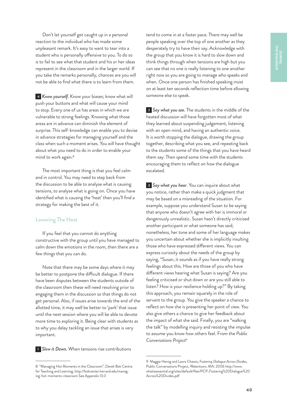Don't let yourself get caught up in a personal reaction to the individual who has made some unpleasant remark. It's easy to want to tear into a student who is personally offensive to you. To do so is to fail to see what that student and his or her ideas represent in the classroom and in the larger world. If you take the remarks personally, chances are you will not be able to find what there is to learn from them.

**<sup>4</sup>** *Know yourself.* Know your biases; know what will push your buttons and what will cause your mind to stop. Every one of us has areas in which we are vulnerable to strong feelings. Knowing what those areas are in advance can diminish the element of surprise. This self-knowledge can enable you to devise in advance strategies for managing yourself and the class when such a moment arises. You will have thought about what you need to do in order to enable your mind to work again.<sup>8</sup>

The most important thing is that you feel calm and in control. You may need to step back from the discussion to be able to analyse what is causing tensions, to analyse what is going on. Once you have identified what is causing the 'heat' then you'll find a strategy for making the best of it.

### Lowering The Heat

If you feel that you cannot do anything constructive with the group until you have managed to calm down the emotions in the room, then there are a few things that you can do.

Note that there may be some days where it may be better to postpone the difficult dialogue. If there have been disputes between the students outside of the classroom then these will need resolving prior to engaging them in the discussion so that things do not get personal. Also, if issues arise towards the end of the allotted time, it may well be better to 'park' that issue until the next session where you will be able to devote more time to exploring it. Being clear with students as to why you delay tackling an issue that arises is very important.

**<sup>1</sup>** *Slow it Down.* When tensions rise contributions

tend to come in at a faster pace. There may well be people speaking over the top of one another as they desperately try to have their say. Acknowledge with the group that you know it is hard to slow down and think things through when tensions are high but you can see that no one is really listening to one another right now so you are going to manage who speaks and when. Once one person has finished speaking insist on at least ten seconds reflection time before allowing someone else to speak.

**<sup>2</sup>** *Say what you see.* The students in the middle of the heated discussion will have forgotten most of what they learned about suspending judgement, listening with an open mind, and having an authentic voice. It is worth stopping the dialogue, drawing the group together, describing what you see, and repeating back to the students some of the things that you have heard them say. Then spend some time with the students encouraging them to reflect on how the dialogue escalated.

**<sup>3</sup>** *Say what you hear*. You can inquire about what you notice, rather than make a quick judgment that may be based on a misreading of the situation. For example, suppose you understand Susan to be saying that anyone who doesn't agree with her is immoral or dangerously unrealistic. Susan hasn't directly criticised another participant or what someone has said; nonetheless, her tone and some of her language makes you uncertain about whether she is implicitly insulting those who have expressed different views. You can express curiosity about the needs of the group by saying, "Susan, it sounds as if you have really strong feelings about this. How are those of you who have different views hearing what Susan is saying? Are you feeling criticised or shut down or are you still able to listen? How is your resilience holding up?" By taking this approach, you remain squarely in the role of servant to the group. You give the speaker a chance to reflect on how she is presenting her point of view. You also give others a chance to give her feedback about the impact of what she said. Finally, you are "walking the talk" by modelling inquiry and resisting the impulse to assume you know how others feel. From the *Public Conversations Project*<sup>9</sup>

<sup>8 &</sup>quot;Managing Hot Moments in the Classroom", Derek Bok Centre for Teaching and Learning, [http://bokcenter.harvard.edu/manag](http://bokcenter.harvard.edu/managing-hot-moments-classroom)[ing-hot-moments-classroom](http://bokcenter.harvard.edu/managing-hot-moments-classroom) See Appendix 13.0

<sup>9</sup> Maggie Herzig and Laura Chassis, *Fostering Dialogue Across Divides*, Public Conversations Project, Watertown, MA: 2006 [http://www.](http://www.whatisessential.org/sites/default/files/PCP_Fostering%20Dialogue%20Across%20Divides.pdf) [whatisessential.org/sites/default/files/PCP\\_Fostering%20Dialogue%20](http://www.whatisessential.org/sites/default/files/PCP_Fostering%20Dialogue%20Across%20Divides.pdf) [Across%20Divides.pdf](http://www.whatisessential.org/sites/default/files/PCP_Fostering%20Dialogue%20Across%20Divides.pdf)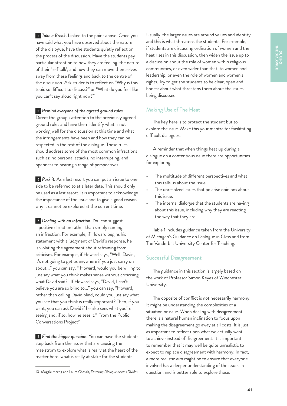**<sup>4</sup>** *Take a Break.* Linked to the point above. Once you have said what you have observed about the nature of the dialogue, have the students quietly reflect on the process of the discussion. Have the students pay particular attention to how they are feeling, the nature of their 'self talk', and how they can move themselves away from these feelings and back to the centre of the discussion. Ask students to reflect on "Why is this topic so difficult to discuss?" or "What do you feel like you can't say aloud right now?"

## **<sup>5</sup>** *Remind everyone of the agreed ground rules.*

Direct the group's attention to the previously agreed ground rules and have them identify what is not working well for the discussion at this time and what the infringements have been and how they can be respected in the rest of the dialogue. These rules should address some of the most common infractions such as: no personal attacks, no interrupting, and openness to hearing a range of perspectives.

**<sup>6</sup>** *Park it.* As a last resort you can put an issue to one side to be referred to at a later date. This should only be used as a last resort. It is important to acknowledge the importance of the issue and to give a good reason why it cannot be explored at the current time.

**<sup>7</sup>** *Dealing with an infraction.* You can suggest a positive direction rather than simply naming an infraction. For example, if Howard begins his statement with a judgment of David's response, he is violating the agreement about refraining from criticism. For example, if Howard says, "Well, David, it's not going to get us anywhere if you just carry on about..." you can say, " Howard, would you be willing to just say what you think makes sense without criticising what David said?" If Howard says, "David, I can't believe you are so blind to..." you can say, "Howard, rather than calling David blind, could you just say what you see that you think is really important? Then, if you want, you can ask David if he also sees what you're seeing and, if so, how he sees it." From the Public Conversations Project<sup>10</sup>

**<sup>8</sup>** *Find the bigger question.* You can have the students step back from the issues that are causing the maelstrom to explore what is really at the heart of the matter here, what is really at stake for the students.

Usually, the larger issues are around values and identity and this is what threatens the students. For example, if students are discussing ordination of women and the heat rises in this discussion, then widen the issue up to a discussion about the role of women within religious communities, or even wider than that, to women and leadership, or even the role of women and women's rights. Try to get the students to be clear, open and honest about what threatens them about the issues being discussed.

## Making Use of The Heat

The key here is to protect the student but to explore the issue. Make this your mantra for facilitating difficult dialogues.

A reminder that when things heat up during a dialogue on a contentious issue there are opportunities for exploring:

- The multitude of different perspectives and what this tells us about the issue.
- The unresolved issues that polarise opinions about this issue.
- The internal dialogue that the students are having about this issue, including why they are reacting the way that they are.

Table 1 includes guidance taken from the University of Michigan's Guidance on Dialogue in Class and from The Vanderbilt University Center for Teaching.

### Successful Disagreement

The guidance in this section is largely based on the work of Professor Simon Keyes of Winchester University.

The opposite of conflict is not necessarily harmony. It might be understanding the complexities of a situation or issue. When dealing with disagreement there is a natural human inclination to focus upon making the disagreement go away at all costs. It is just as important to reflect upon what we actually want to achieve instead of disagreement. It is important to remember that it may well be quite unrealistic to expect to replace disagreement with harmony. In fact, a more realistic aim might be to ensure that everyone involved has a deeper understanding of the issues in question, and is better able to explore those.

<sup>10</sup> Maggie Herzig and Laura Chassis, *Fostering Dialogue Across Divides*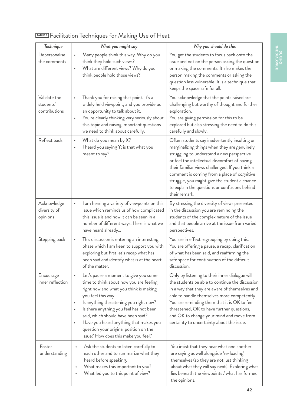| Technique                                  | What you might say                                                                                                                                                                                                                                                                                                                                                                                                                            | Why you should do this                                                                                                                                                                                                                                                                                                                                                                                            |
|--------------------------------------------|-----------------------------------------------------------------------------------------------------------------------------------------------------------------------------------------------------------------------------------------------------------------------------------------------------------------------------------------------------------------------------------------------------------------------------------------------|-------------------------------------------------------------------------------------------------------------------------------------------------------------------------------------------------------------------------------------------------------------------------------------------------------------------------------------------------------------------------------------------------------------------|
| Depersonalise<br>the comments              | Many people think this way. Why do you<br>$\bullet$<br>think they hold such views?<br>What are different views? Why do you<br>$\bullet$<br>think people hold those views?                                                                                                                                                                                                                                                                     | You get the students to focus back onto the<br>issue and not on the person asking the question<br>or making the comments. It also makes the<br>person making the comments or asking the<br>question less vulnerable. It is a technique that<br>keeps the space safe for all.                                                                                                                                      |
| Validate the<br>students'<br>contributions | Thank you for raising that point. It's a<br>٠<br>widely held viewpoint, and you provide us<br>an opportunity to talk about it.<br>You're clearly thinking very seriously about<br>$\bullet$<br>this topic and raising important questions<br>we need to think about carefully.                                                                                                                                                                | You acknowledge that the points raised are<br>challenging but worthy of thought and further<br>exploration.<br>You are giving permission for this to be<br>explored but also stressing the need to do this<br>carefully and slowly.                                                                                                                                                                               |
| Reflect back                               | What do you mean by X?<br>$\bullet$<br>I heard you saying Y; is that what you<br>$\bullet$<br>meant to say?                                                                                                                                                                                                                                                                                                                                   | Often students say inadvertently insulting or<br>marginalizing things when they are genuinely<br>struggling to understand a new perspective<br>or feel the intellectual discomfort of having<br>their familiar views challenged. If you think a<br>comment is coming from a place of cognitive<br>struggle, you might give the student a chance<br>to explain the questions or confusions behind<br>their remark. |
| Acknowledge<br>diversity of<br>opinions    | I am hearing a variety of viewpoints on this<br>$\bullet$<br>issue which reminds us of how complicated<br>this issue is and how it can be seen in a<br>number of different ways. Here is what we<br>have heard already                                                                                                                                                                                                                        | By stressing the diversity of views presented<br>in the discussion you are reminding the<br>students of the complex nature of the issue<br>and that people arrive at the issue from varied<br>perspectives.                                                                                                                                                                                                       |
| Stepping back                              | This discussion is entering an interesting<br>$\bullet$<br>phase which I am keen to support you with<br>exploring but first let's recap what has<br>been said and identify what is at the heart<br>of the matter.                                                                                                                                                                                                                             | You are in effect regrouping by doing this.<br>You are offering a pause, a recap, clarification<br>of what has been said, and reaffirming the<br>safe space for continuation of the difficult<br>discussion.                                                                                                                                                                                                      |
| Encourage<br>inner reflection              | Let's pause a moment to give you some<br>$\bullet$<br>time to think about how you are feeling<br>right now and what you think is making<br>you feel this way.<br>Is anything threatening you right now?<br>Is there anything you feel has not been<br>$\bullet$<br>said, which should have been said?<br>Have you heard anything that makes you<br>$\bullet$<br>question your original position on the<br>issue? How does this make you feel? | Only by listening to their inner dialogue will<br>the students be able to continue the discussion<br>in a way that they are aware of themselves and<br>able to handle themselves more competently.<br>You are reminding them that it is OK to feel<br>threatened, OK to have further questions,<br>and OK to change your mind and move from<br>certainty to uncertainty about the issue.                          |
| Foster<br>understanding                    | Ask the students to listen carefully to<br>$\bullet$<br>each other and to summarize what they<br>heard before speaking.<br>What makes this important to you?<br>What led you to this point of view?                                                                                                                                                                                                                                           | You insist that they hear what one another<br>are saying as well alongside 're-loading'<br>themselves (so they are not just thinking<br>about what they will say next). Exploring what<br>lies beneath the viewpoints / what has formed<br>the opinions.                                                                                                                                                          |

## **TABLE. 1** Facilitation Techniques for Making Use of Heat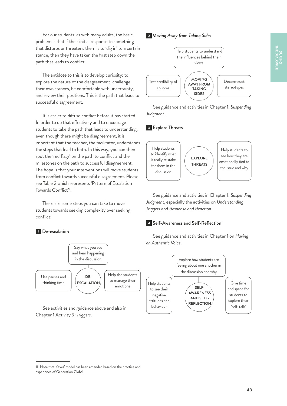For our students, as with many adults, the basic problem is that if their initial response to something that disturbs or threatens them is to 'dig in' to a certain stance, then they have taken the first step down the path that leads to conflict.

The antidote to this is to develop curiosity: to explore the nature of the disagreement, challenge their own stances, be comfortable with uncertainty, and review their positions. This is the path that leads to successful disagreement.

It is easier to diffuse conflict before it has started. In order to do that effectively and to encourage students to take the path that leads to understanding, even though there might be disagreement, it is important that the teacher, the facilitator, understands the steps that lead to both. In this way, you can then spot the 'red flags' on the path to conflict and the milestones on the path to successful disagreement. The hope is that your interventions will move students from conflict towards successful disagreement. Please see Table 2 which represents 'Pattern of Escalation Towards Conflict'<sup>11</sup>.

There are some steps you can take to move students towards seeking complexity over seeking conflict:

## **<sup>1</sup>** De-escalation



See activities and guidance above and also in Chapter 1 Activity 9: *Triggers*.

**<sup>2</sup>** *Moving Away from Taking Sides*



See guidance and activities in Chapter 1: *Suspending Judgment*.

### **<sup>3</sup>** Explore Threats



See guidance and activities in Chapter 1: *Suspending Judgment*, especially the activities on *Understanding Triggers* and *Response and Reaction*.

#### **<sup>4</sup>** Self-Awareness and Self-Reflection

See guidance and activities in Chapter 1 on *Having an Authentic Voice*.



<sup>11</sup> Note that Keyes' model has been amended based on the practice and experience of Generation Global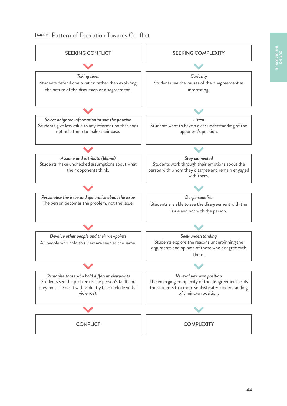## **TABLE. 2**Pattern of Escalation Towards Conflict

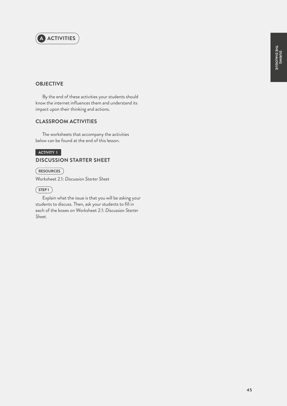

## **OBJECTIVE**

By the end of these activities your students should know the internet influences them and understand its impact upon their thinking and actions.

## **CLASSROOM ACTIVITIES**

The worksheets that accompany the activities below can be found at the end of this lesson.

## **ACTIVITY 1 DISCUSSION STARTER SHEET**

**RESOURCES**

Worksheet 2.1: *Discussion Starter Sheet*

## $(STEP1)$

Explain what the issue is that you will be asking your students to discuss. Then, ask your students to fill in each of the boxes on Worksheet 2.1: *Discussion Starter Sheet.*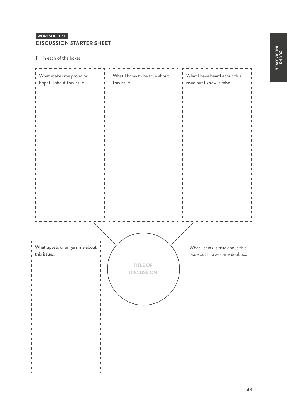## **WORKSHEET 2.1 DISCUSSION STARTER SHEET**

Fill in each of the boxes.

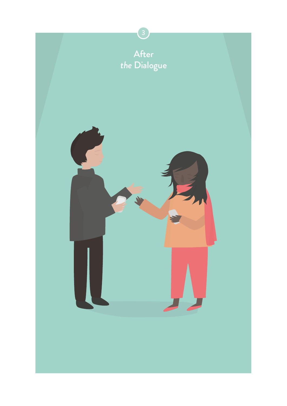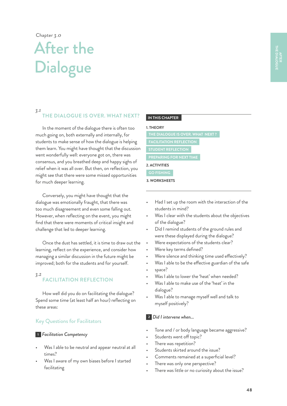Chapter *3.0* 

## After the **Dialogue**

#### *3.1*

## **THE DIALOGUE IS OVER. WHAT NEXT?**

In the moment of the dialogue there is often too much going on, both externally and internally, for students to make sense of how the dialogue is helping them learn. You might have thought that the discussion went wonderfully well: everyone got on, there was consensus, and you breathed deep and happy sighs of relief when it was all over. But then, on reflection, you might see that there were some missed opportunities for much deeper learning.

Conversely, you might have thought that the dialogue was emotionally fraught, that there was too much disagreement and even some falling out. However, when reflecting on the event, you might find that there were moments of critical insight and challenge that led to deeper learning.

Once the dust has settled, it is time to draw out the learning, reflect on the experience, and consider how managing a similar discussion in the future might be improved; both for the students and for yourself.

#### *3.2* **FACILITATION REFLECTION**

How well did you do on facilitating the dialogue? Spend some time (at least half an hour) reflecting on these areas:

## Key Questions for Facilitators

### **<sup>1</sup>** *Facilitation Competency*

- Was I able to be neutral and appear neutral at all times?
- Was I aware of my own biases before I started facilitating

### **IN THIS CHAPTER**

#### **1. THEORY**

**2. ACTIVITIES PREPARING FOR NEXT TIME GO FISHING**

**3. WORKSHEETS**

- Had I set up the room with the interaction of the students in mind?
- Was I clear with the students about the objectives of the dialogue?
- Did I remind students of the ground rules and were these displayed during the dialogue?
- Were expectations of the students clear?
- Were key terms defined?
- Were silence and thinking time used effectively?
- Was I able to be the effective guardian of the safe
- space?
- Was I able to lower the 'heat' when needed?
- Was I able to make use of the 'heat' in the dialogue?
- Was I able to manage myself well and talk to myself positively?

## **<sup>2</sup>** *Did I intervene when...*

- Tone and / or body language became aggressive?
- Students went off topic?
- There was repetition?
- Students skirted around the issue?
- Comments remained at a superficial level?
- There was only one perspective?
- There was little or no curiosity about the issue?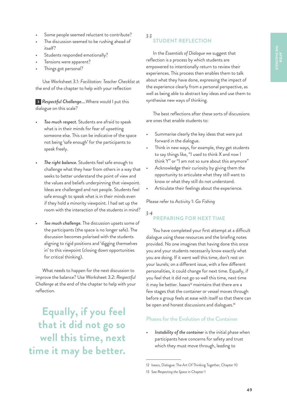- Some people seemed reluctant to contribute?
- The discussion seemed to be rushing ahead of itself?
- Students responded emotionally?
- Tensions were apparent?
- Things got personal?

Use Worksheet 3.1: *Facilitation: Teacher Checklist* at the end of the chapter to help with your reflection

**<sup>3</sup>** *Respectful Challenge....*Where would I put this dialogue on this scale?

- *• Too much respect.* Students are afraid to speak what is in their minds for fear of upsetting someone else. This can be indicative of the space not being 'safe enough' for the participants to speak freely.
- *• The right balance.* Students feel safe enough to challenge what they hear from others in a way that seeks to better understand the point of view and the values and beliefs underpinning that viewpoint. Ideas are challenged and not people. Students feel safe enough to speak what is in their minds even if they hold a minority viewpoint. I had set up the room with the interaction of the students in mind?
- *• Too much challenge.* The discussion upsets some of the participants (the space is no longer safe). The discussion becomes polarised with the students aligning to rigid positions and 'digging themselves in' to this viewpoint (closing down opportunities for critical thinking).

What needs to happen for the next discussion to improve the balance? Use Worksheet 3.2: *Respectful Challenge* at the end of the chapter to help with your reflection.

**Equally, if you feel that it did not go so well this time, next time it may be better.** *3.3*

## **STUDENT REFLECTION**

In the *Essentials of Dialogue* we suggest that reflection is a process by which students are empowered to intentionally return to review their experiences. This process then enables them to talk about what they have done, expressing the impact of the experience clearly from a personal perspective, as well as being able to abstract key ideas and use them to synthesise new ways of thinking.

The best reflections after these sorts of discussions are ones that enable students to:

- Summarise clearly the key ideas that were put forward in the dialogue.
- Think in new ways, for example, they get students to say things like, "I used to think X and now I think Y" or "I am not so sure about this anymore"
- Acknowledge their curiosity by giving them the opportunity to articulate what they still want to know or what they still do not understand.
- Articulate their feelings about the experience.

Please refer to Activity 1: *Go Fishing*

## *3.4*

## **PREPARING FOR NEXT TIME**

You have completed your first attempt at a difficult dialogue using these resources and the briefing notes provided. No one imagines that having done this once you and your students necessarily know exactly what you are doing. If it went well this time, don't rest on your laurels; on a different issue, with a few different personalities, it could change for next time. Equally, if you feel that it did not go so well this time, next time it may be better. Isaacs<sup>12</sup> maintains that there are a few stages that the container or vessel moves through before a group feels at ease with itself so that there can be open and honest discussions and dialogues.<sup>13</sup>

## Phases for the Evolution of the Container

*• Instability of the container* is the initial phase when participants have concerns for safety and trust which they must move through, leading to

<sup>12</sup> Isaacs, Dialogue: The Art Of Thinking Together, Chapter 10

<sup>13</sup> See *Respecting the Space* in Chapter 1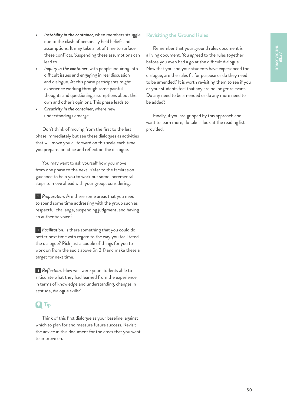- *• Instability in the container*, when members struggle due to the clash of personally held beliefs and assumptions. It may take a lot of time to surface these conflicts. Suspending these assumptions can lead to
- *• Inquiry in the container*, with people inquiring into difficult issues and engaging in real discussion and dialogue. At this phase participants might experience working through some painful thoughts and questioning assumptions about their own and other's opinions. This phase leads to
- *• Creativity in the containe*r, where new understandings emerge

Don't think of moving from the first to the last phase immediately but see these dialogues as activities that will move you all forward on this scale each time you prepare, practice and reflect on the dialogue.

You may want to ask yourself how you move from one phase to the next. Refer to the facilitation guidance to help you to work out some incremental steps to move ahead with your group, considering:

**<sup>1</sup>** *Preparation*. Are there some areas that you need to spend some time addressing with the group such as respectful challenge, suspending judgment, and having an authentic voice?

**<sup>2</sup>** *Facilitation*. Is there something that you could do better next time with regard to the way you facilitated the dialogue? Pick just a couple of things for you to work on from the audit above (in 3.1) and make these a target for next time.

**<sup>3</sup>** *Reflection.* How well were your students able to articulate what they had learned from the experience in terms of knowledge and understanding, changes in attitude, dialogue skills?

## **Q** Tip

Think of this first dialogue as your baseline, against which to plan for and measure future success. Revisit the advice in this document for the areas that you want to improve on.

## Revisiting the Ground Rules

Remember that your ground rules document is a living document. You agreed to the rules together before you even had a go at the difficult dialogue. Now that you and your students have experienced the dialogue, are the rules fit for purpose or do they need to be amended? It is worth revisiting them to see if you or your students feel that any are no longer relevant. Do any need to be amended or do any more need to be added?

Finally, if you are gripped by this approach and want to learn more, do take a look at the reading list provided.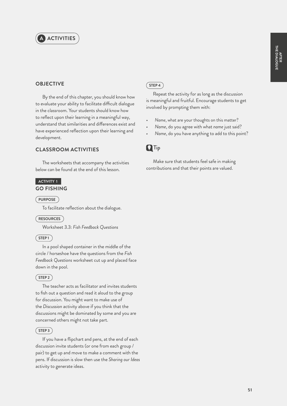

## **OBJECTIVE**

By the end of this chapter, you should know how to evaluate your ability to facilitate difficult dialogue in the classroom. Your students should know how to reflect upon their learning in a meaningful way, understand that similarities and differences exist and have experienced reflection upon their learning and development.

## **CLASSROOM ACTIVITIES**

The worksheets that accompany the activities below can be found at the end of this lesson.

### **ACTIVITY 1 GO FISHING**

#### **PURPOSE**

To facilitate reflection about the dialogue.

#### **RESOURCES**

Worksheet 3.3: *Fish Feedback Questions*

#### $(STEP1)$

In a pool shaped container in the middle of the circle / horseshoe have the questions from the *Fish Feedback Questions* worksheet cut up and placed face down in the pool.

## $(STEP2)$

The teacher acts as facilitator and invites students to fish out a question and read it aloud to the group for discussion. You might want to make use of the *Discussion* activity above if you think that the discussions might be dominated by some and you are concerned others might not take part.

## $(STEP3)$

If you have a flipchart and pens, at the end of each discussion invite students (or one from each group / pair) to get up and move to make a comment with the pens. If discussion is slow then use the *Sharing our Ideas* activity to generate ideas.

#### $STEP4$

Repeat the activity for as long as the discussion is meaningful and fruitful. Encourage students to get involved by prompting them with:

- *Name*, what are your thoughts on this matter?
- *• Name*, do you agree with what *name* just said?
- *• Name*, do you have anything to add to this point?



Make sure that students feel safe in making contributions and that their points are valued.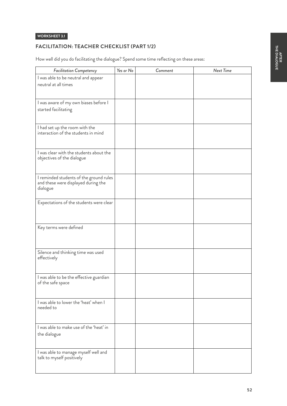## **FACILITATION: TEACHER CHECKLIST (PART 1/2)**

How well did you do facilitating the dialogue? Spend some time reflecting on these areas:

| <b>Facilitation Competency</b>                                                 | Yes or No | Comment | <b>Next Time</b> |
|--------------------------------------------------------------------------------|-----------|---------|------------------|
| I was able to be neutral and appear                                            |           |         |                  |
| neutral at all times                                                           |           |         |                  |
|                                                                                |           |         |                  |
| I was aware of my own biases before I                                          |           |         |                  |
| started facilitating                                                           |           |         |                  |
|                                                                                |           |         |                  |
|                                                                                |           |         |                  |
| I had set up the room with the<br>interaction of the students in mind          |           |         |                  |
|                                                                                |           |         |                  |
|                                                                                |           |         |                  |
| I was clear with the students about the                                        |           |         |                  |
| objectives of the dialogue                                                     |           |         |                  |
|                                                                                |           |         |                  |
|                                                                                |           |         |                  |
| I reminded students of the ground rules<br>and these were displayed during the |           |         |                  |
| dialogue                                                                       |           |         |                  |
|                                                                                |           |         |                  |
| Expectations of the students were clear                                        |           |         |                  |
|                                                                                |           |         |                  |
|                                                                                |           |         |                  |
| Key terms were defined                                                         |           |         |                  |
|                                                                                |           |         |                  |
|                                                                                |           |         |                  |
| Silence and thinking time was used                                             |           |         |                  |
| effectively                                                                    |           |         |                  |
|                                                                                |           |         |                  |
| I was able to be the effective guardian                                        |           |         |                  |
| of the safe space                                                              |           |         |                  |
|                                                                                |           |         |                  |
| I was able to lower the 'heat' when I                                          |           |         |                  |
| needed to                                                                      |           |         |                  |
|                                                                                |           |         |                  |
|                                                                                |           |         |                  |
| I was able to make use of the 'heat' in                                        |           |         |                  |
| the dialogue                                                                   |           |         |                  |
|                                                                                |           |         |                  |
| I was able to manage myself well and<br>talk to myself positively              |           |         |                  |
|                                                                                |           |         |                  |
|                                                                                |           |         |                  |
|                                                                                |           |         |                  |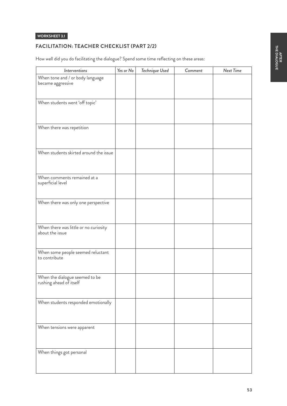## **FACILITATION: TEACHER CHECKLIST (PART 2/2)**

How well did you do facilitating the dialogue? Spend some time reflecting on these areas:

| <i>Interventions</i>                                      | Yes or No | Technique Used | Comment | Next Time |
|-----------------------------------------------------------|-----------|----------------|---------|-----------|
| When tone and / or body language<br>became aggressive     |           |                |         |           |
| When students went 'off topic'                            |           |                |         |           |
| When there was repetition                                 |           |                |         |           |
| When students skirted around the issue                    |           |                |         |           |
| When comments remained at a<br>superficial level          |           |                |         |           |
| When there was only one perspective                       |           |                |         |           |
| When there was little or no curiosity<br>about the issue  |           |                |         |           |
| When some people seemed reluctant<br>to contribute        |           |                |         |           |
| When the dialogue seemed to be<br>rushing ahead of itself |           |                |         |           |
| When students responded emotionally                       |           |                |         |           |
| When tensions were apparent                               |           |                |         |           |
| When things got personal                                  |           |                |         |           |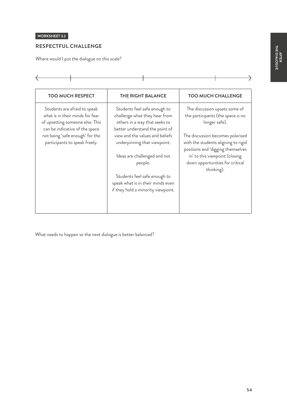$\rightarrow$ 

## **WORKSHEET 3.2**

 $\leftarrow$ 

## **RESPECTFUL CHALLENGE**

Where would I put the dialogue on this scale?

| <b>TOO MUCH RESPECT</b>                                                                                                                                                                                  | <b>THE RIGHT BALANCE</b>                                                                                                                                                                                                                                                                                                                                  | <b>TOO MUCH CHALLENGE</b>                                                                                                                                                                                                                                                              |
|----------------------------------------------------------------------------------------------------------------------------------------------------------------------------------------------------------|-----------------------------------------------------------------------------------------------------------------------------------------------------------------------------------------------------------------------------------------------------------------------------------------------------------------------------------------------------------|----------------------------------------------------------------------------------------------------------------------------------------------------------------------------------------------------------------------------------------------------------------------------------------|
| Students are afraid to speak<br>what is in their minds for fear<br>of upsetting someone else. This<br>can be indicative of the space<br>not being 'safe enough' for the<br>participants to speak freely. | Students feel safe enough to<br>challenge what they hear from<br>others in a way that seeks to<br>better understand the point of<br>view and the values and beliefs<br>underpinning that viewpoint.<br>Ideas are challenged and not<br>people.<br>Students feel safe enough to<br>speak what is in their minds even<br>if they hold a minority viewpoint. | The discussion upsets some of<br>the participants (the space is no<br>longer safe).<br>The discussion becomes polarised<br>with the students aligning to rigid<br>positions and 'digging themselves<br>in' to this viewpoint (closing<br>down opportunities for critical<br>thinking). |

What needs to happen so the next dialogue is better balanced?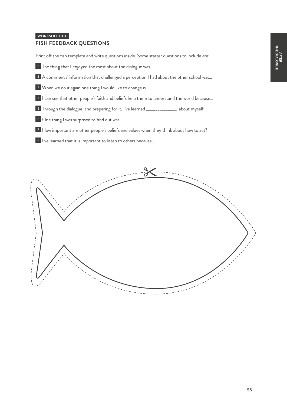## **FISH FEEDBACK QUESTIONS**

Print off the fish template and write questions inside. Some starter questions to include are:

The thing that I enjoyed the most about the dialogue was...

A comment / information that challenged a perception I had about the other school was…

When we do it again one thing I would like to change is…

I can see that other people's faith and beliefs help them to understand the world because...

Through the dialogue, and preparing for it, I've learned \_\_\_\_\_\_\_\_\_\_\_\_\_\_\_\_ about myself.

One thing I was surprised to find out was...

How important are other people's beliefs and values when they think about how to act?

I've learned that it is important to listen to others because…

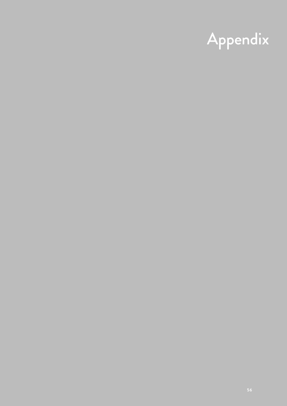# Appendix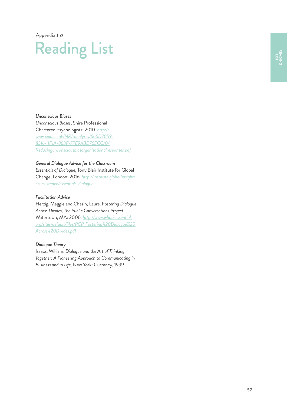Appendix *1.0* 

## Reading List

*Unconscious Biases*

*Unconscious Biases*, Shire Professional Chartered Psychologists: 2010. *[http://](http://www.cipd.co.uk/NR/rdonlyres/666D7059-8516-4F1A-863F-7FE9ABD76ECC/0/Reducingunconsciousbiasorganisationalresponses.pdf) [www.cipd.co.uk/NR/rdonlyres/666D7059-](http://www.cipd.co.uk/NR/rdonlyres/666D7059-8516-4F1A-863F-7FE9ABD76ECC/0/Reducingunconsciousbiasorganisationalresponses.pdf) [8516-4F1A-863F-7FE9ABD76ECC/0/](http://www.cipd.co.uk/NR/rdonlyres/666D7059-8516-4F1A-863F-7FE9ABD76ECC/0/Reducingunconsciousbiasorganisationalresponses.pdf) [Reducingunconsciousbiasorganisationalresponses.pdf](http://www.cipd.co.uk/NR/rdonlyres/666D7059-8516-4F1A-863F-7FE9ABD76ECC/0/Reducingunconsciousbiasorganisationalresponses.pdf)*

### *General Dialogue Advice for the Classroom*

*Essentials of Dialogue*, Tony Blair Institute for Global Change, London: 2016. *[http://institute.global/insight/](http://institute.global/insight/co-existence/essentials-dialogue) [co-existence/essentials-dialogue](http://institute.global/insight/co-existence/essentials-dialogue)*

#### *Facilitation Advice*

Herzig, Maggie and Chasin, Laura. F*ostering Dialogue Across Divides, The Public Conversations Project*, Watertown, MA: 2006. *[http://www.whatisessential.](http://www.whatisessential.org/sites/default/files/PCP_Fostering%20Dialogue%20Across%20Divides.pdf) [org/sites/default/files/PCP\\_Fostering%20Dialogue%20](http://www.whatisessential.org/sites/default/files/PCP_Fostering%20Dialogue%20Across%20Divides.pdf) [Across%20Divides.pdf](http://www.whatisessential.org/sites/default/files/PCP_Fostering%20Dialogue%20Across%20Divides.pdf)*

### *Dialogue Theory*

Isaacs, William. *Dialogue and the Art of Thinking Together: A Pioneering Approach to Communicating in Business and in Life,* New York: Currency, 1999